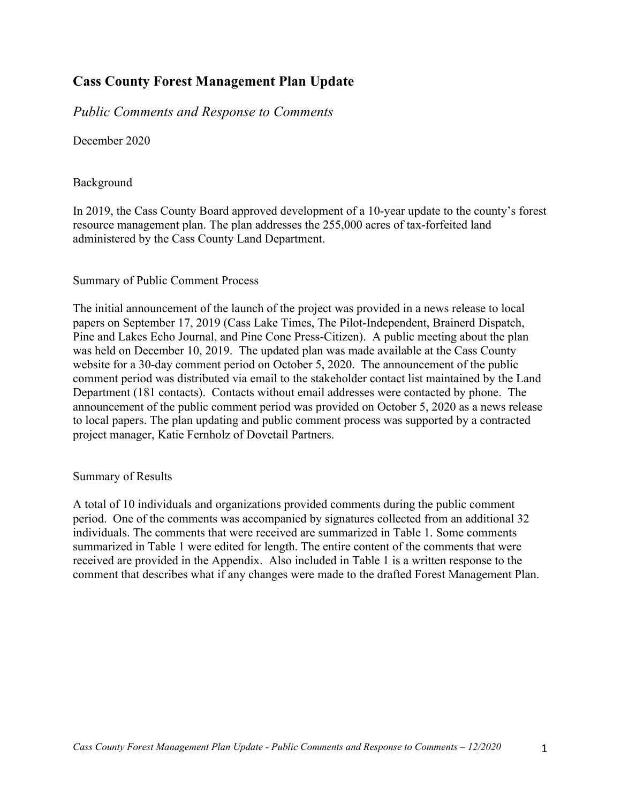## **Cass County Forest Management Plan Update**

*Public Comments and Response to Comments*

December 2020

#### Background

In 2019, the Cass County Board approved development of a 10-year update to the county's forest resource management plan. The plan addresses the 255,000 acres of tax-forfeited land administered by the Cass County Land Department.

#### Summary of Public Comment Process

The initial announcement of the launch of the project was provided in a news release to local papers on September 17, 2019 (Cass Lake Times, The Pilot-Independent, Brainerd Dispatch, Pine and Lakes Echo Journal, and Pine Cone Press-Citizen). A public meeting about the plan was held on December 10, 2019. The updated plan was made available at the Cass County website for a 30-day comment period on October 5, 2020. The announcement of the public comment period was distributed via email to the stakeholder contact list maintained by the Land Department (181 contacts). Contacts without email addresses were contacted by phone. The announcement of the public comment period was provided on October 5, 2020 as a news release to local papers. The plan updating and public comment process was supported by a contracted project manager, Katie Fernholz of Dovetail Partners.

#### Summary of Results

A total of 10 individuals and organizations provided comments during the public comment period. One of the comments was accompanied by signatures collected from an additional 32 individuals. The comments that were received are summarized in Table 1. Some comments summarized in Table 1 were edited for length. The entire content of the comments that were received are provided in the Appendix. Also included in Table 1 is a written response to the comment that describes what if any changes were made to the drafted Forest Management Plan.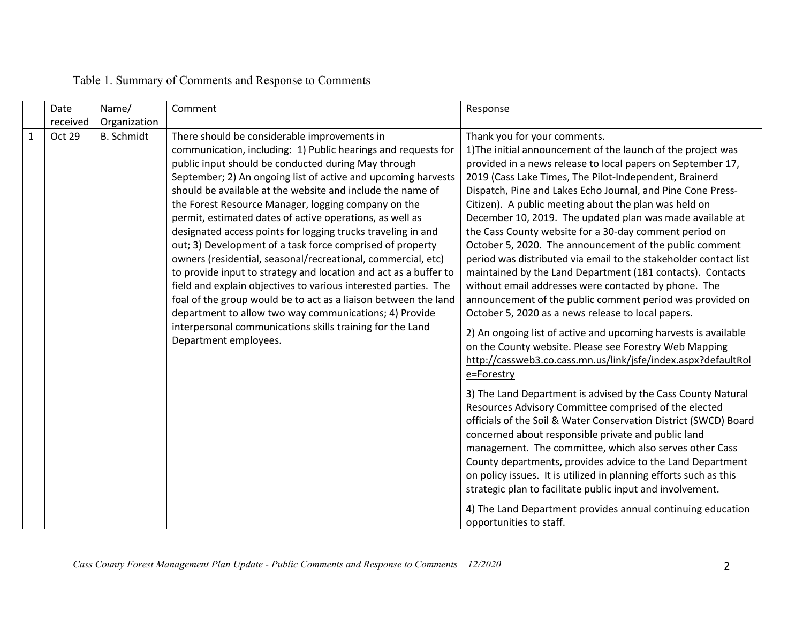| Date<br>received | Name/<br>Organization | Comment                                                                                                                                                                                                                                                                                                                                                                                                                                                                                                                                                                                                                                                                                                                                                                                                                                                                                                                                                                       | Response                                                                                                                                                                                                                                                                                                                                                                                                                                                                                                                                                                                                                                                                                                                                                                                                                                                                                                                                                                                                                                                 |
|------------------|-----------------------|-------------------------------------------------------------------------------------------------------------------------------------------------------------------------------------------------------------------------------------------------------------------------------------------------------------------------------------------------------------------------------------------------------------------------------------------------------------------------------------------------------------------------------------------------------------------------------------------------------------------------------------------------------------------------------------------------------------------------------------------------------------------------------------------------------------------------------------------------------------------------------------------------------------------------------------------------------------------------------|----------------------------------------------------------------------------------------------------------------------------------------------------------------------------------------------------------------------------------------------------------------------------------------------------------------------------------------------------------------------------------------------------------------------------------------------------------------------------------------------------------------------------------------------------------------------------------------------------------------------------------------------------------------------------------------------------------------------------------------------------------------------------------------------------------------------------------------------------------------------------------------------------------------------------------------------------------------------------------------------------------------------------------------------------------|
| Oct 29           | <b>B.</b> Schmidt     | There should be considerable improvements in<br>communication, including: 1) Public hearings and requests for<br>public input should be conducted during May through<br>September; 2) An ongoing list of active and upcoming harvests<br>should be available at the website and include the name of<br>the Forest Resource Manager, logging company on the<br>permit, estimated dates of active operations, as well as<br>designated access points for logging trucks traveling in and<br>out; 3) Development of a task force comprised of property<br>owners (residential, seasonal/recreational, commercial, etc)<br>to provide input to strategy and location and act as a buffer to<br>field and explain objectives to various interested parties. The<br>foal of the group would be to act as a liaison between the land<br>department to allow two way communications; 4) Provide<br>interpersonal communications skills training for the Land<br>Department employees. | Thank you for your comments.<br>1) The initial announcement of the launch of the project was<br>provided in a news release to local papers on September 17,<br>2019 (Cass Lake Times, The Pilot-Independent, Brainerd<br>Dispatch, Pine and Lakes Echo Journal, and Pine Cone Press-<br>Citizen). A public meeting about the plan was held on<br>December 10, 2019. The updated plan was made available at<br>the Cass County website for a 30-day comment period on<br>October 5, 2020. The announcement of the public comment<br>period was distributed via email to the stakeholder contact list<br>maintained by the Land Department (181 contacts). Contacts<br>without email addresses were contacted by phone. The<br>announcement of the public comment period was provided on<br>October 5, 2020 as a news release to local papers.<br>2) An ongoing list of active and upcoming harvests is available<br>on the County website. Please see Forestry Web Mapping<br>http://cassweb3.co.cass.mn.us/link/jsfe/index.aspx?defaultRol<br>e=Forestry |
|                  |                       |                                                                                                                                                                                                                                                                                                                                                                                                                                                                                                                                                                                                                                                                                                                                                                                                                                                                                                                                                                               | 3) The Land Department is advised by the Cass County Natural<br>Resources Advisory Committee comprised of the elected<br>officials of the Soil & Water Conservation District (SWCD) Board<br>concerned about responsible private and public land<br>management. The committee, which also serves other Cass<br>County departments, provides advice to the Land Department<br>on policy issues. It is utilized in planning efforts such as this<br>strategic plan to facilitate public input and involvement.                                                                                                                                                                                                                                                                                                                                                                                                                                                                                                                                             |
|                  |                       |                                                                                                                                                                                                                                                                                                                                                                                                                                                                                                                                                                                                                                                                                                                                                                                                                                                                                                                                                                               | 4) The Land Department provides annual continuing education<br>opportunities to staff.                                                                                                                                                                                                                                                                                                                                                                                                                                                                                                                                                                                                                                                                                                                                                                                                                                                                                                                                                                   |

## Table 1. Summary of Comments and Response to Comments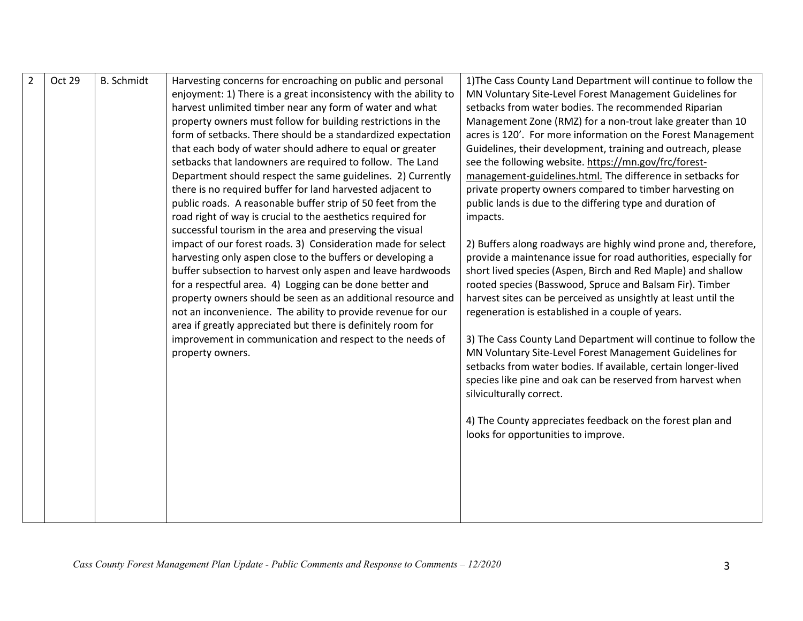| Oct 29 | <b>B.</b> Schmidt | Harvesting concerns for encroaching on public and personal<br>enjoyment: 1) There is a great inconsistency with the ability to<br>harvest unlimited timber near any form of water and what<br>property owners must follow for building restrictions in the<br>form of setbacks. There should be a standardized expectation<br>that each body of water should adhere to equal or greater<br>setbacks that landowners are required to follow. The Land<br>Department should respect the same guidelines. 2) Currently<br>there is no required buffer for land harvested adjacent to<br>public roads. A reasonable buffer strip of 50 feet from the<br>road right of way is crucial to the aesthetics required for<br>successful tourism in the area and preserving the visual<br>impact of our forest roads. 3) Consideration made for select<br>harvesting only aspen close to the buffers or developing a<br>buffer subsection to harvest only aspen and leave hardwoods<br>for a respectful area. 4) Logging can be done better and<br>property owners should be seen as an additional resource and<br>not an inconvenience. The ability to provide revenue for our<br>area if greatly appreciated but there is definitely room for<br>improvement in communication and respect to the needs of<br>property owners. | 1) The Cass County Land Department will continue to follow the<br>MN Voluntary Site-Level Forest Management Guidelines for<br>setbacks from water bodies. The recommended Riparian<br>Management Zone (RMZ) for a non-trout lake greater than 10<br>acres is 120'. For more information on the Forest Management<br>Guidelines, their development, training and outreach, please<br>see the following website. https://mn.gov/frc/forest-<br>management-guidelines.html. The difference in setbacks for<br>private property owners compared to timber harvesting on<br>public lands is due to the differing type and duration of<br>impacts.<br>2) Buffers along roadways are highly wind prone and, therefore,<br>provide a maintenance issue for road authorities, especially for<br>short lived species (Aspen, Birch and Red Maple) and shallow<br>rooted species (Basswood, Spruce and Balsam Fir). Timber<br>harvest sites can be perceived as unsightly at least until the<br>regeneration is established in a couple of years.<br>3) The Cass County Land Department will continue to follow the<br>MN Voluntary Site-Level Forest Management Guidelines for<br>setbacks from water bodies. If available, certain longer-lived<br>species like pine and oak can be reserved from harvest when<br>silviculturally correct.<br>4) The County appreciates feedback on the forest plan and<br>looks for opportunities to improve. |
|--------|-------------------|----------------------------------------------------------------------------------------------------------------------------------------------------------------------------------------------------------------------------------------------------------------------------------------------------------------------------------------------------------------------------------------------------------------------------------------------------------------------------------------------------------------------------------------------------------------------------------------------------------------------------------------------------------------------------------------------------------------------------------------------------------------------------------------------------------------------------------------------------------------------------------------------------------------------------------------------------------------------------------------------------------------------------------------------------------------------------------------------------------------------------------------------------------------------------------------------------------------------------------------------------------------------------------------------------------------------|---------------------------------------------------------------------------------------------------------------------------------------------------------------------------------------------------------------------------------------------------------------------------------------------------------------------------------------------------------------------------------------------------------------------------------------------------------------------------------------------------------------------------------------------------------------------------------------------------------------------------------------------------------------------------------------------------------------------------------------------------------------------------------------------------------------------------------------------------------------------------------------------------------------------------------------------------------------------------------------------------------------------------------------------------------------------------------------------------------------------------------------------------------------------------------------------------------------------------------------------------------------------------------------------------------------------------------------------------------------------------------------------------------------------------------------|
|        |                   |                                                                                                                                                                                                                                                                                                                                                                                                                                                                                                                                                                                                                                                                                                                                                                                                                                                                                                                                                                                                                                                                                                                                                                                                                                                                                                                      |                                                                                                                                                                                                                                                                                                                                                                                                                                                                                                                                                                                                                                                                                                                                                                                                                                                                                                                                                                                                                                                                                                                                                                                                                                                                                                                                                                                                                                       |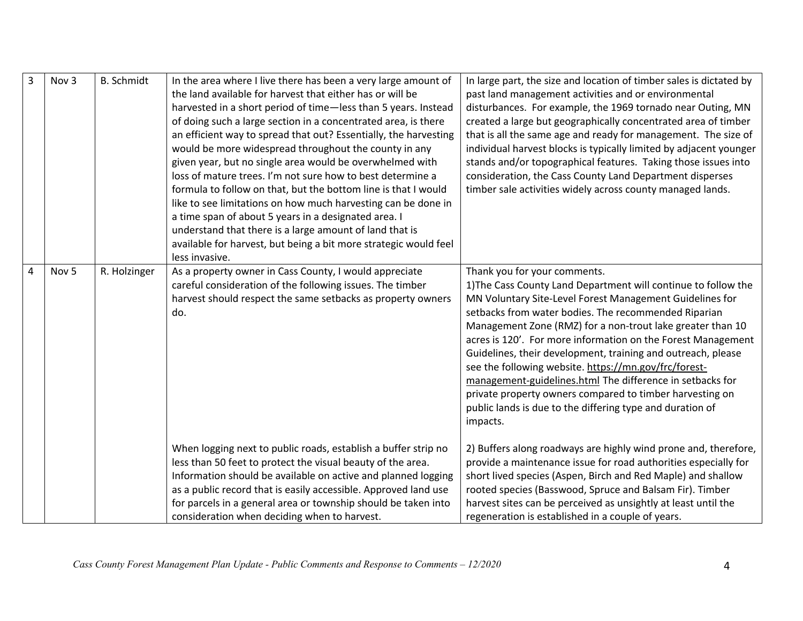| $\overline{3}$ | Nov 3            | <b>B.</b> Schmidt | In the area where I live there has been a very large amount of<br>the land available for harvest that either has or will be<br>harvested in a short period of time-less than 5 years. Instead<br>of doing such a large section in a concentrated area, is there<br>an efficient way to spread that out? Essentially, the harvesting<br>would be more widespread throughout the county in any<br>given year, but no single area would be overwhelmed with<br>loss of mature trees. I'm not sure how to best determine a<br>formula to follow on that, but the bottom line is that I would<br>like to see limitations on how much harvesting can be done in<br>a time span of about 5 years in a designated area. I<br>understand that there is a large amount of land that is<br>available for harvest, but being a bit more strategic would feel<br>less invasive. | In large part, the size and location of timber sales is dictated by<br>past land management activities and or environmental<br>disturbances. For example, the 1969 tornado near Outing, MN<br>created a large but geographically concentrated area of timber<br>that is all the same age and ready for management. The size of<br>individual harvest blocks is typically limited by adjacent younger<br>stands and/or topographical features. Taking those issues into<br>consideration, the Cass County Land Department disperses<br>timber sale activities widely across county managed lands.                                                                            |
|----------------|------------------|-------------------|--------------------------------------------------------------------------------------------------------------------------------------------------------------------------------------------------------------------------------------------------------------------------------------------------------------------------------------------------------------------------------------------------------------------------------------------------------------------------------------------------------------------------------------------------------------------------------------------------------------------------------------------------------------------------------------------------------------------------------------------------------------------------------------------------------------------------------------------------------------------|-----------------------------------------------------------------------------------------------------------------------------------------------------------------------------------------------------------------------------------------------------------------------------------------------------------------------------------------------------------------------------------------------------------------------------------------------------------------------------------------------------------------------------------------------------------------------------------------------------------------------------------------------------------------------------|
| $\overline{4}$ | Nov <sub>5</sub> | R. Holzinger      | As a property owner in Cass County, I would appreciate<br>careful consideration of the following issues. The timber<br>harvest should respect the same setbacks as property owners<br>do.                                                                                                                                                                                                                                                                                                                                                                                                                                                                                                                                                                                                                                                                          | Thank you for your comments.<br>1) The Cass County Land Department will continue to follow the<br>MN Voluntary Site-Level Forest Management Guidelines for<br>setbacks from water bodies. The recommended Riparian<br>Management Zone (RMZ) for a non-trout lake greater than 10<br>acres is 120'. For more information on the Forest Management<br>Guidelines, their development, training and outreach, please<br>see the following website. https://mn.gov/frc/forest-<br>management-guidelines.html The difference in setbacks for<br>private property owners compared to timber harvesting on<br>public lands is due to the differing type and duration of<br>impacts. |
|                |                  |                   | When logging next to public roads, establish a buffer strip no<br>less than 50 feet to protect the visual beauty of the area.<br>Information should be available on active and planned logging<br>as a public record that is easily accessible. Approved land use<br>for parcels in a general area or township should be taken into<br>consideration when deciding when to harvest.                                                                                                                                                                                                                                                                                                                                                                                                                                                                                | 2) Buffers along roadways are highly wind prone and, therefore,<br>provide a maintenance issue for road authorities especially for<br>short lived species (Aspen, Birch and Red Maple) and shallow<br>rooted species (Basswood, Spruce and Balsam Fir). Timber<br>harvest sites can be perceived as unsightly at least until the<br>regeneration is established in a couple of years.                                                                                                                                                                                                                                                                                       |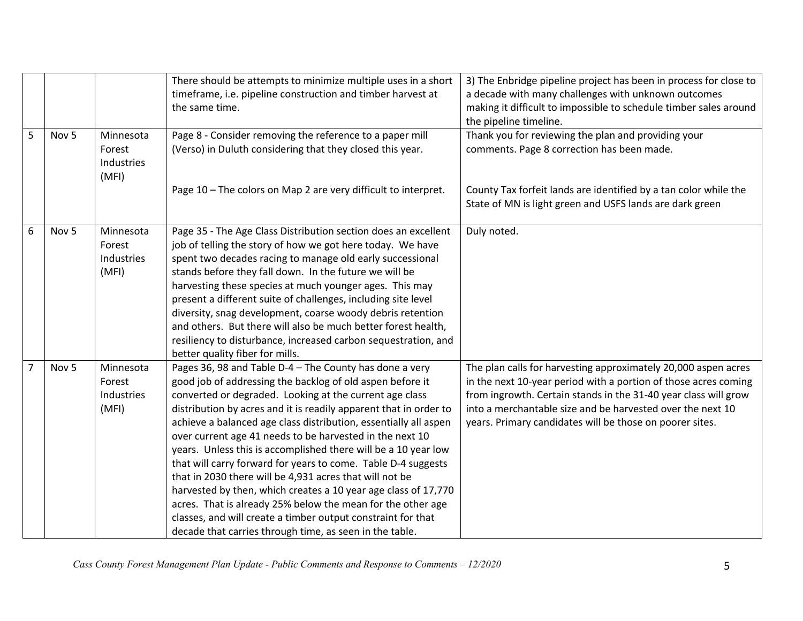|                |                  |                                            | There should be attempts to minimize multiple uses in a short<br>timeframe, i.e. pipeline construction and timber harvest at<br>the same time.                                                                                                                                                                                                                                                                                                                                                                                                                                                                                                                                                                                                                                                                                                 | 3) The Enbridge pipeline project has been in process for close to<br>a decade with many challenges with unknown outcomes<br>making it difficult to impossible to schedule timber sales around<br>the pipeline timeline.                                                                                                        |
|----------------|------------------|--------------------------------------------|------------------------------------------------------------------------------------------------------------------------------------------------------------------------------------------------------------------------------------------------------------------------------------------------------------------------------------------------------------------------------------------------------------------------------------------------------------------------------------------------------------------------------------------------------------------------------------------------------------------------------------------------------------------------------------------------------------------------------------------------------------------------------------------------------------------------------------------------|--------------------------------------------------------------------------------------------------------------------------------------------------------------------------------------------------------------------------------------------------------------------------------------------------------------------------------|
| 5              | Nov <sub>5</sub> | Minnesota<br>Forest<br>Industries<br>(MFI) | Page 8 - Consider removing the reference to a paper mill<br>(Verso) in Duluth considering that they closed this year.                                                                                                                                                                                                                                                                                                                                                                                                                                                                                                                                                                                                                                                                                                                          | Thank you for reviewing the plan and providing your<br>comments. Page 8 correction has been made.                                                                                                                                                                                                                              |
|                |                  |                                            | Page 10 - The colors on Map 2 are very difficult to interpret.                                                                                                                                                                                                                                                                                                                                                                                                                                                                                                                                                                                                                                                                                                                                                                                 | County Tax forfeit lands are identified by a tan color while the<br>State of MN is light green and USFS lands are dark green                                                                                                                                                                                                   |
| 6              | Nov <sub>5</sub> | Minnesota<br>Forest<br>Industries<br>(MFI) | Page 35 - The Age Class Distribution section does an excellent<br>job of telling the story of how we got here today. We have<br>spent two decades racing to manage old early successional<br>stands before they fall down. In the future we will be<br>harvesting these species at much younger ages. This may<br>present a different suite of challenges, including site level<br>diversity, snag development, coarse woody debris retention<br>and others. But there will also be much better forest health,<br>resiliency to disturbance, increased carbon sequestration, and<br>better quality fiber for mills.                                                                                                                                                                                                                            | Duly noted.                                                                                                                                                                                                                                                                                                                    |
| $\overline{7}$ | Nov <sub>5</sub> | Minnesota<br>Forest<br>Industries<br>(MFI) | Pages 36, 98 and Table D-4 - The County has done a very<br>good job of addressing the backlog of old aspen before it<br>converted or degraded. Looking at the current age class<br>distribution by acres and it is readily apparent that in order to<br>achieve a balanced age class distribution, essentially all aspen<br>over current age 41 needs to be harvested in the next 10<br>years. Unless this is accomplished there will be a 10 year low<br>that will carry forward for years to come. Table D-4 suggests<br>that in 2030 there will be 4,931 acres that will not be<br>harvested by then, which creates a 10 year age class of 17,770<br>acres. That is already 25% below the mean for the other age<br>classes, and will create a timber output constraint for that<br>decade that carries through time, as seen in the table. | The plan calls for harvesting approximately 20,000 aspen acres<br>in the next 10-year period with a portion of those acres coming<br>from ingrowth. Certain stands in the 31-40 year class will grow<br>into a merchantable size and be harvested over the next 10<br>years. Primary candidates will be those on poorer sites. |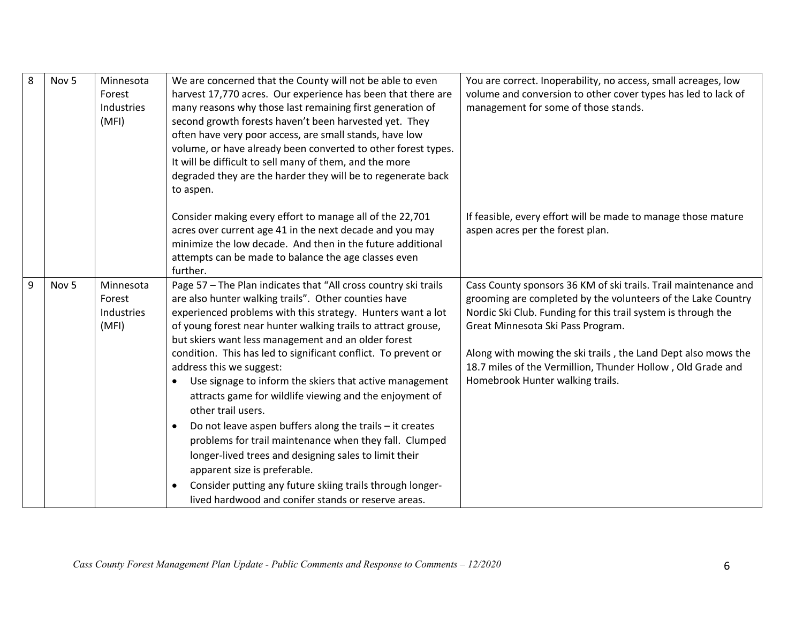| 8 | Nov <sub>5</sub> | Minnesota<br>Forest<br>Industries<br>(MFI) | We are concerned that the County will not be able to even<br>harvest 17,770 acres. Our experience has been that there are<br>many reasons why those last remaining first generation of<br>second growth forests haven't been harvested yet. They<br>often have very poor access, are small stands, have low<br>volume, or have already been converted to other forest types.<br>It will be difficult to sell many of them, and the more<br>degraded they are the harder they will be to regenerate back<br>to aspen.                                                                                                                                                                                                                                                                                                                                                                                                  | You are correct. Inoperability, no access, small acreages, low<br>volume and conversion to other cover types has led to lack of<br>management for some of those stands.                                                                                                                                                                                                                                   |
|---|------------------|--------------------------------------------|-----------------------------------------------------------------------------------------------------------------------------------------------------------------------------------------------------------------------------------------------------------------------------------------------------------------------------------------------------------------------------------------------------------------------------------------------------------------------------------------------------------------------------------------------------------------------------------------------------------------------------------------------------------------------------------------------------------------------------------------------------------------------------------------------------------------------------------------------------------------------------------------------------------------------|-----------------------------------------------------------------------------------------------------------------------------------------------------------------------------------------------------------------------------------------------------------------------------------------------------------------------------------------------------------------------------------------------------------|
|   |                  |                                            | Consider making every effort to manage all of the 22,701<br>acres over current age 41 in the next decade and you may<br>minimize the low decade. And then in the future additional<br>attempts can be made to balance the age classes even<br>further.                                                                                                                                                                                                                                                                                                                                                                                                                                                                                                                                                                                                                                                                | If feasible, every effort will be made to manage those mature<br>aspen acres per the forest plan.                                                                                                                                                                                                                                                                                                         |
| 9 | Nov <sub>5</sub> | Minnesota<br>Forest<br>Industries<br>(MFI) | Page 57 - The Plan indicates that "All cross country ski trails<br>are also hunter walking trails". Other counties have<br>experienced problems with this strategy. Hunters want a lot<br>of young forest near hunter walking trails to attract grouse,<br>but skiers want less management and an older forest<br>condition. This has led to significant conflict. To prevent or<br>address this we suggest:<br>Use signage to inform the skiers that active management<br>$\bullet$<br>attracts game for wildlife viewing and the enjoyment of<br>other trail users.<br>Do not leave aspen buffers along the trails - it creates<br>$\bullet$<br>problems for trail maintenance when they fall. Clumped<br>longer-lived trees and designing sales to limit their<br>apparent size is preferable.<br>Consider putting any future skiing trails through longer-<br>lived hardwood and conifer stands or reserve areas. | Cass County sponsors 36 KM of ski trails. Trail maintenance and<br>grooming are completed by the volunteers of the Lake Country<br>Nordic Ski Club. Funding for this trail system is through the<br>Great Minnesota Ski Pass Program.<br>Along with mowing the ski trails, the Land Dept also mows the<br>18.7 miles of the Vermillion, Thunder Hollow, Old Grade and<br>Homebrook Hunter walking trails. |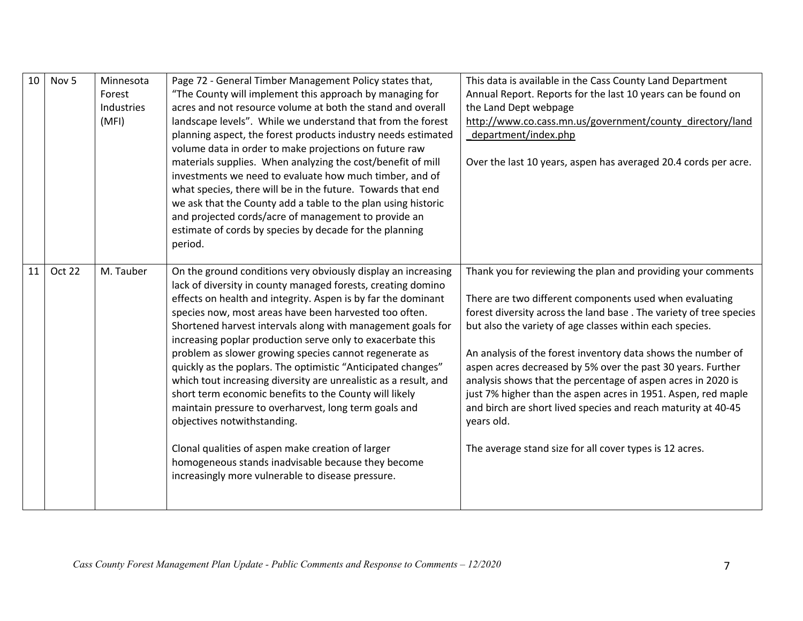| 10 | Nov <sub>5</sub> | Minnesota<br>Forest<br>Industries<br>(MFI) | Page 72 - General Timber Management Policy states that,<br>"The County will implement this approach by managing for<br>acres and not resource volume at both the stand and overall<br>landscape levels". While we understand that from the forest<br>planning aspect, the forest products industry needs estimated<br>volume data in order to make projections on future raw<br>materials supplies. When analyzing the cost/benefit of mill<br>investments we need to evaluate how much timber, and of<br>what species, there will be in the future. Towards that end<br>we ask that the County add a table to the plan using historic<br>and projected cords/acre of management to provide an<br>estimate of cords by species by decade for the planning<br>period.                                                                                                                                  | This data is available in the Cass County Land Department<br>Annual Report. Reports for the last 10 years can be found on<br>the Land Dept webpage<br>http://www.co.cass.mn.us/government/county directory/land<br>department/index.php<br>Over the last 10 years, aspen has averaged 20.4 cords per acre.                                                                                                                                                                                                                                                                                                                                                          |
|----|------------------|--------------------------------------------|-------------------------------------------------------------------------------------------------------------------------------------------------------------------------------------------------------------------------------------------------------------------------------------------------------------------------------------------------------------------------------------------------------------------------------------------------------------------------------------------------------------------------------------------------------------------------------------------------------------------------------------------------------------------------------------------------------------------------------------------------------------------------------------------------------------------------------------------------------------------------------------------------------|---------------------------------------------------------------------------------------------------------------------------------------------------------------------------------------------------------------------------------------------------------------------------------------------------------------------------------------------------------------------------------------------------------------------------------------------------------------------------------------------------------------------------------------------------------------------------------------------------------------------------------------------------------------------|
| 11 | Oct 22           | M. Tauber                                  | On the ground conditions very obviously display an increasing<br>lack of diversity in county managed forests, creating domino<br>effects on health and integrity. Aspen is by far the dominant<br>species now, most areas have been harvested too often.<br>Shortened harvest intervals along with management goals for<br>increasing poplar production serve only to exacerbate this<br>problem as slower growing species cannot regenerate as<br>quickly as the poplars. The optimistic "Anticipated changes"<br>which tout increasing diversity are unrealistic as a result, and<br>short term economic benefits to the County will likely<br>maintain pressure to overharvest, long term goals and<br>objectives notwithstanding.<br>Clonal qualities of aspen make creation of larger<br>homogeneous stands inadvisable because they become<br>increasingly more vulnerable to disease pressure. | Thank you for reviewing the plan and providing your comments<br>There are two different components used when evaluating<br>forest diversity across the land base. The variety of tree species<br>but also the variety of age classes within each species.<br>An analysis of the forest inventory data shows the number of<br>aspen acres decreased by 5% over the past 30 years. Further<br>analysis shows that the percentage of aspen acres in 2020 is<br>just 7% higher than the aspen acres in 1951. Aspen, red maple<br>and birch are short lived species and reach maturity at 40-45<br>years old.<br>The average stand size for all cover types is 12 acres. |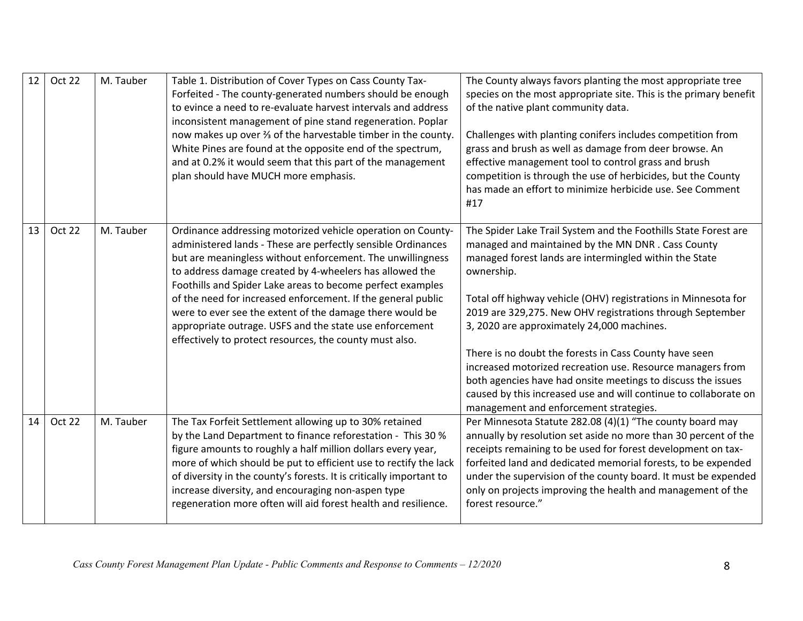| 12 | <b>Oct 22</b> | M. Tauber | Table 1. Distribution of Cover Types on Cass County Tax-<br>Forfeited - The county-generated numbers should be enough<br>to evince a need to re-evaluate harvest intervals and address<br>inconsistent management of pine stand regeneration. Poplar<br>now makes up over 3 of the harvestable timber in the county.<br>White Pines are found at the opposite end of the spectrum,<br>and at 0.2% it would seem that this part of the management<br>plan should have MUCH more emphasis.                                                                             | The County always favors planting the most appropriate tree<br>species on the most appropriate site. This is the primary benefit<br>of the native plant community data.<br>Challenges with planting conifers includes competition from<br>grass and brush as well as damage from deer browse. An<br>effective management tool to control grass and brush<br>competition is through the use of herbicides, but the County<br>has made an effort to minimize herbicide use. See Comment<br>#17                                                                                                                                                                                    |
|----|---------------|-----------|----------------------------------------------------------------------------------------------------------------------------------------------------------------------------------------------------------------------------------------------------------------------------------------------------------------------------------------------------------------------------------------------------------------------------------------------------------------------------------------------------------------------------------------------------------------------|---------------------------------------------------------------------------------------------------------------------------------------------------------------------------------------------------------------------------------------------------------------------------------------------------------------------------------------------------------------------------------------------------------------------------------------------------------------------------------------------------------------------------------------------------------------------------------------------------------------------------------------------------------------------------------|
| 13 | <b>Oct 22</b> | M. Tauber | Ordinance addressing motorized vehicle operation on County-<br>administered lands - These are perfectly sensible Ordinances<br>but are meaningless without enforcement. The unwillingness<br>to address damage created by 4-wheelers has allowed the<br>Foothills and Spider Lake areas to become perfect examples<br>of the need for increased enforcement. If the general public<br>were to ever see the extent of the damage there would be<br>appropriate outrage. USFS and the state use enforcement<br>effectively to protect resources, the county must also. | The Spider Lake Trail System and the Foothills State Forest are<br>managed and maintained by the MN DNR. Cass County<br>managed forest lands are intermingled within the State<br>ownership.<br>Total off highway vehicle (OHV) registrations in Minnesota for<br>2019 are 329,275. New OHV registrations through September<br>3, 2020 are approximately 24,000 machines.<br>There is no doubt the forests in Cass County have seen<br>increased motorized recreation use. Resource managers from<br>both agencies have had onsite meetings to discuss the issues<br>caused by this increased use and will continue to collaborate on<br>management and enforcement strategies. |
| 14 | Oct 22        | M. Tauber | The Tax Forfeit Settlement allowing up to 30% retained<br>by the Land Department to finance reforestation - This 30 %<br>figure amounts to roughly a half million dollars every year,<br>more of which should be put to efficient use to rectify the lack<br>of diversity in the county's forests. It is critically important to<br>increase diversity, and encouraging non-aspen type<br>regeneration more often will aid forest health and resilience.                                                                                                             | Per Minnesota Statute 282.08 (4)(1) "The county board may<br>annually by resolution set aside no more than 30 percent of the<br>receipts remaining to be used for forest development on tax-<br>forfeited land and dedicated memorial forests, to be expended<br>under the supervision of the county board. It must be expended<br>only on projects improving the health and management of the<br>forest resource."                                                                                                                                                                                                                                                             |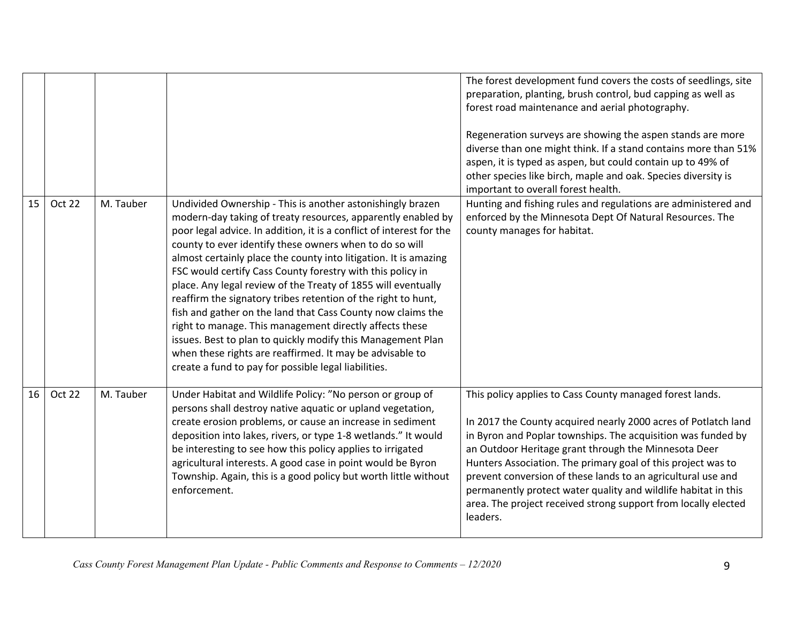|    |        |           |                                                                                                                                                                                                                                                                                                                                                                                                                                                                                                                                                                                                                                                                                                                                                                                                                                                | The forest development fund covers the costs of seedlings, site<br>preparation, planting, brush control, bud capping as well as<br>forest road maintenance and aerial photography.<br>Regeneration surveys are showing the aspen stands are more<br>diverse than one might think. If a stand contains more than 51%<br>aspen, it is typed as aspen, but could contain up to 49% of<br>other species like birch, maple and oak. Species diversity is<br>important to overall forest health.                                         |
|----|--------|-----------|------------------------------------------------------------------------------------------------------------------------------------------------------------------------------------------------------------------------------------------------------------------------------------------------------------------------------------------------------------------------------------------------------------------------------------------------------------------------------------------------------------------------------------------------------------------------------------------------------------------------------------------------------------------------------------------------------------------------------------------------------------------------------------------------------------------------------------------------|------------------------------------------------------------------------------------------------------------------------------------------------------------------------------------------------------------------------------------------------------------------------------------------------------------------------------------------------------------------------------------------------------------------------------------------------------------------------------------------------------------------------------------|
| 15 | Oct 22 | M. Tauber | Undivided Ownership - This is another astonishingly brazen<br>modern-day taking of treaty resources, apparently enabled by<br>poor legal advice. In addition, it is a conflict of interest for the<br>county to ever identify these owners when to do so will<br>almost certainly place the county into litigation. It is amazing<br>FSC would certify Cass County forestry with this policy in<br>place. Any legal review of the Treaty of 1855 will eventually<br>reaffirm the signatory tribes retention of the right to hunt,<br>fish and gather on the land that Cass County now claims the<br>right to manage. This management directly affects these<br>issues. Best to plan to quickly modify this Management Plan<br>when these rights are reaffirmed. It may be advisable to<br>create a fund to pay for possible legal liabilities. | Hunting and fishing rules and regulations are administered and<br>enforced by the Minnesota Dept Of Natural Resources. The<br>county manages for habitat.                                                                                                                                                                                                                                                                                                                                                                          |
| 16 | Oct 22 | M. Tauber | Under Habitat and Wildlife Policy: "No person or group of<br>persons shall destroy native aquatic or upland vegetation,<br>create erosion problems, or cause an increase in sediment<br>deposition into lakes, rivers, or type 1-8 wetlands." It would<br>be interesting to see how this policy applies to irrigated<br>agricultural interests. A good case in point would be Byron<br>Township. Again, this is a good policy but worth little without<br>enforcement.                                                                                                                                                                                                                                                                                                                                                                         | This policy applies to Cass County managed forest lands.<br>In 2017 the County acquired nearly 2000 acres of Potlatch land<br>in Byron and Poplar townships. The acquisition was funded by<br>an Outdoor Heritage grant through the Minnesota Deer<br>Hunters Association. The primary goal of this project was to<br>prevent conversion of these lands to an agricultural use and<br>permanently protect water quality and wildlife habitat in this<br>area. The project received strong support from locally elected<br>leaders. |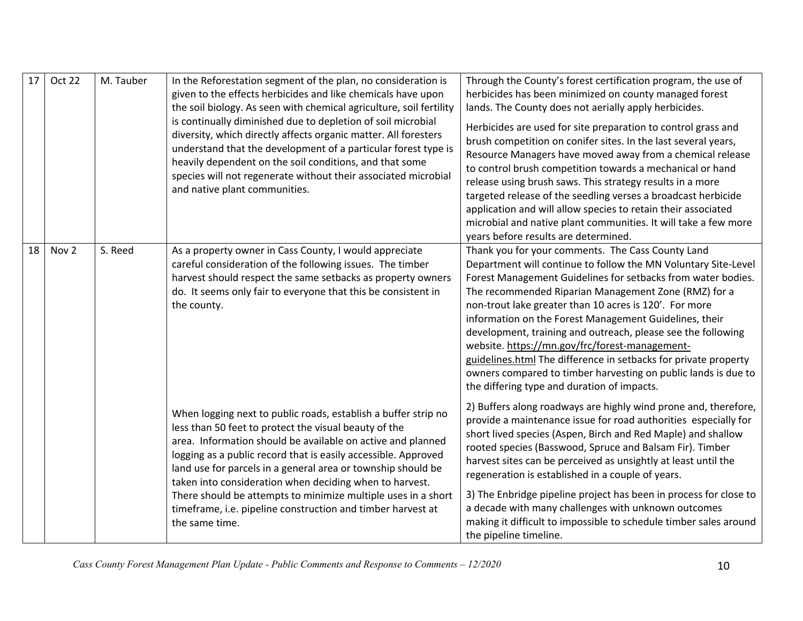| 17 | Oct 22 | M. Tauber | In the Reforestation segment of the plan, no consideration is<br>given to the effects herbicides and like chemicals have upon<br>the soil biology. As seen with chemical agriculture, soil fertility<br>is continually diminished due to depletion of soil microbial<br>diversity, which directly affects organic matter. All foresters<br>understand that the development of a particular forest type is<br>heavily dependent on the soil conditions, and that some<br>species will not regenerate without their associated microbial<br>and native plant communities. | Through the County's forest certification program, the use of<br>herbicides has been minimized on county managed forest<br>lands. The County does not aerially apply herbicides.<br>Herbicides are used for site preparation to control grass and<br>brush competition on conifer sites. In the last several years,<br>Resource Managers have moved away from a chemical release<br>to control brush competition towards a mechanical or hand<br>release using brush saws. This strategy results in a more<br>targeted release of the seedling verses a broadcast herbicide<br>application and will allow species to retain their associated<br>microbial and native plant communities. It will take a few more<br>years before results are determined. |
|----|--------|-----------|-------------------------------------------------------------------------------------------------------------------------------------------------------------------------------------------------------------------------------------------------------------------------------------------------------------------------------------------------------------------------------------------------------------------------------------------------------------------------------------------------------------------------------------------------------------------------|---------------------------------------------------------------------------------------------------------------------------------------------------------------------------------------------------------------------------------------------------------------------------------------------------------------------------------------------------------------------------------------------------------------------------------------------------------------------------------------------------------------------------------------------------------------------------------------------------------------------------------------------------------------------------------------------------------------------------------------------------------|
| 18 | Nov 2  | S. Reed   | As a property owner in Cass County, I would appreciate<br>careful consideration of the following issues. The timber<br>harvest should respect the same setbacks as property owners<br>do. It seems only fair to everyone that this be consistent in<br>the county.                                                                                                                                                                                                                                                                                                      | Thank you for your comments. The Cass County Land<br>Department will continue to follow the MN Voluntary Site-Level<br>Forest Management Guidelines for setbacks from water bodies.<br>The recommended Riparian Management Zone (RMZ) for a<br>non-trout lake greater than 10 acres is 120'. For more<br>information on the Forest Management Guidelines, their<br>development, training and outreach, please see the following<br>website. https://mn.gov/frc/forest-management-<br>guidelines.html The difference in setbacks for private property<br>owners compared to timber harvesting on public lands is due to<br>the differing type and duration of impacts.                                                                                   |
|    |        |           | When logging next to public roads, establish a buffer strip no<br>less than 50 feet to protect the visual beauty of the<br>area. Information should be available on active and planned<br>logging as a public record that is easily accessible. Approved<br>land use for parcels in a general area or township should be<br>taken into consideration when deciding when to harvest.<br>There should be attempts to minimize multiple uses in a short<br>timeframe, i.e. pipeline construction and timber harvest at<br>the same time.                                   | 2) Buffers along roadways are highly wind prone and, therefore,<br>provide a maintenance issue for road authorities especially for<br>short lived species (Aspen, Birch and Red Maple) and shallow<br>rooted species (Basswood, Spruce and Balsam Fir). Timber<br>harvest sites can be perceived as unsightly at least until the<br>regeneration is established in a couple of years.<br>3) The Enbridge pipeline project has been in process for close to<br>a decade with many challenges with unknown outcomes<br>making it difficult to impossible to schedule timber sales around<br>the pipeline timeline.                                                                                                                                        |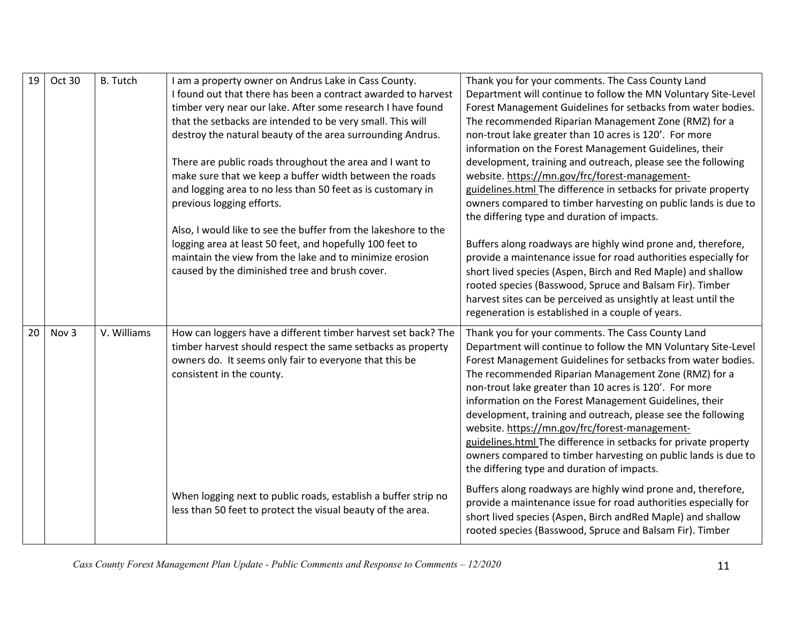| 19 | Oct 30 | <b>B.</b> Tutch | I am a property owner on Andrus Lake in Cass County.<br>I found out that there has been a contract awarded to harvest<br>timber very near our lake. After some research I have found<br>that the setbacks are intended to be very small. This will<br>destroy the natural beauty of the area surrounding Andrus.<br>There are public roads throughout the area and I want to<br>make sure that we keep a buffer width between the roads<br>and logging area to no less than 50 feet as is customary in<br>previous logging efforts. | Thank you for your comments. The Cass County Land<br>Department will continue to follow the MN Voluntary Site-Level<br>Forest Management Guidelines for setbacks from water bodies.<br>The recommended Riparian Management Zone (RMZ) for a<br>non-trout lake greater than 10 acres is 120'. For more<br>information on the Forest Management Guidelines, their<br>development, training and outreach, please see the following<br>website. https://mn.gov/frc/forest-management-<br>guidelines.html The difference in setbacks for private property<br>owners compared to timber harvesting on public lands is due to<br>the differing type and duration of impacts. |
|----|--------|-----------------|-------------------------------------------------------------------------------------------------------------------------------------------------------------------------------------------------------------------------------------------------------------------------------------------------------------------------------------------------------------------------------------------------------------------------------------------------------------------------------------------------------------------------------------|-----------------------------------------------------------------------------------------------------------------------------------------------------------------------------------------------------------------------------------------------------------------------------------------------------------------------------------------------------------------------------------------------------------------------------------------------------------------------------------------------------------------------------------------------------------------------------------------------------------------------------------------------------------------------|
|    |        |                 | Also, I would like to see the buffer from the lakeshore to the<br>logging area at least 50 feet, and hopefully 100 feet to<br>maintain the view from the lake and to minimize erosion<br>caused by the diminished tree and brush cover.                                                                                                                                                                                                                                                                                             | Buffers along roadways are highly wind prone and, therefore,<br>provide a maintenance issue for road authorities especially for<br>short lived species (Aspen, Birch and Red Maple) and shallow<br>rooted species (Basswood, Spruce and Balsam Fir). Timber<br>harvest sites can be perceived as unsightly at least until the<br>regeneration is established in a couple of years.                                                                                                                                                                                                                                                                                    |
| 20 | Nov 3  | V. Williams     | How can loggers have a different timber harvest set back? The<br>timber harvest should respect the same setbacks as property<br>owners do. It seems only fair to everyone that this be<br>consistent in the county.                                                                                                                                                                                                                                                                                                                 | Thank you for your comments. The Cass County Land<br>Department will continue to follow the MN Voluntary Site-Level<br>Forest Management Guidelines for setbacks from water bodies.<br>The recommended Riparian Management Zone (RMZ) for a<br>non-trout lake greater than 10 acres is 120'. For more<br>information on the Forest Management Guidelines, their<br>development, training and outreach, please see the following<br>website. https://mn.gov/frc/forest-management-<br>guidelines.html The difference in setbacks for private property<br>owners compared to timber harvesting on public lands is due to<br>the differing type and duration of impacts. |
|    |        |                 | When logging next to public roads, establish a buffer strip no<br>less than 50 feet to protect the visual beauty of the area.                                                                                                                                                                                                                                                                                                                                                                                                       | Buffers along roadways are highly wind prone and, therefore,<br>provide a maintenance issue for road authorities especially for<br>short lived species (Aspen, Birch and Red Maple) and shallow<br>rooted species (Basswood, Spruce and Balsam Fir). Timber                                                                                                                                                                                                                                                                                                                                                                                                           |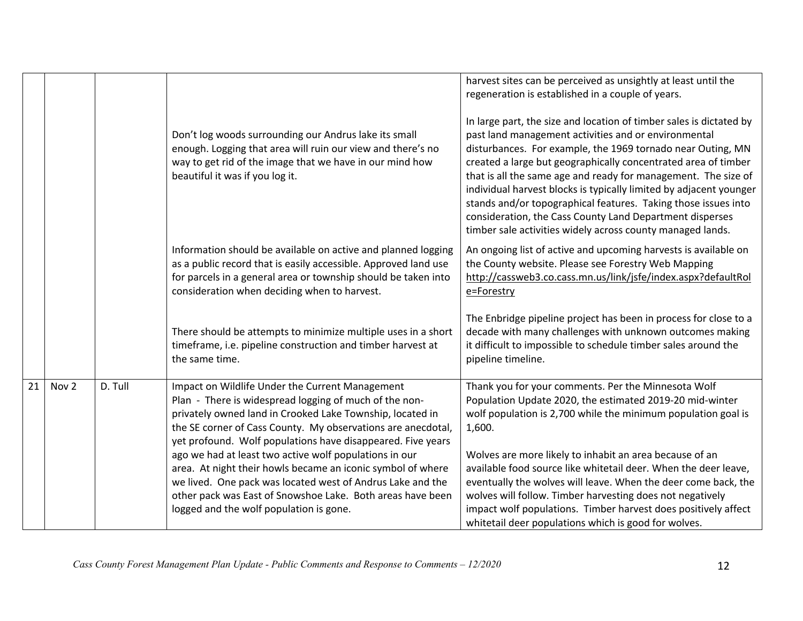|    |                  |         | Don't log woods surrounding our Andrus lake its small<br>enough. Logging that area will ruin our view and there's no<br>way to get rid of the image that we have in our mind how<br>beautiful it was if you log it.                                                                                                                                                                                                                                                                                                                                                                                   | harvest sites can be perceived as unsightly at least until the<br>regeneration is established in a couple of years.<br>In large part, the size and location of timber sales is dictated by<br>past land management activities and or environmental<br>disturbances. For example, the 1969 tornado near Outing, MN<br>created a large but geographically concentrated area of timber<br>that is all the same age and ready for management. The size of<br>individual harvest blocks is typically limited by adjacent younger<br>stands and/or topographical features. Taking those issues into<br>consideration, the Cass County Land Department disperses<br>timber sale activities widely across county managed lands. |
|----|------------------|---------|-------------------------------------------------------------------------------------------------------------------------------------------------------------------------------------------------------------------------------------------------------------------------------------------------------------------------------------------------------------------------------------------------------------------------------------------------------------------------------------------------------------------------------------------------------------------------------------------------------|-------------------------------------------------------------------------------------------------------------------------------------------------------------------------------------------------------------------------------------------------------------------------------------------------------------------------------------------------------------------------------------------------------------------------------------------------------------------------------------------------------------------------------------------------------------------------------------------------------------------------------------------------------------------------------------------------------------------------|
|    |                  |         | Information should be available on active and planned logging<br>as a public record that is easily accessible. Approved land use<br>for parcels in a general area or township should be taken into<br>consideration when deciding when to harvest.                                                                                                                                                                                                                                                                                                                                                    | An ongoing list of active and upcoming harvests is available on<br>the County website. Please see Forestry Web Mapping<br>http://cassweb3.co.cass.mn.us/link/jsfe/index.aspx?defaultRol<br>e=Forestry                                                                                                                                                                                                                                                                                                                                                                                                                                                                                                                   |
|    |                  |         | There should be attempts to minimize multiple uses in a short<br>timeframe, i.e. pipeline construction and timber harvest at<br>the same time.                                                                                                                                                                                                                                                                                                                                                                                                                                                        | The Enbridge pipeline project has been in process for close to a<br>decade with many challenges with unknown outcomes making<br>it difficult to impossible to schedule timber sales around the<br>pipeline timeline.                                                                                                                                                                                                                                                                                                                                                                                                                                                                                                    |
| 21 | Nov <sub>2</sub> | D. Tull | Impact on Wildlife Under the Current Management<br>Plan - There is widespread logging of much of the non-<br>privately owned land in Crooked Lake Township, located in<br>the SE corner of Cass County. My observations are anecdotal,<br>yet profound. Wolf populations have disappeared. Five years<br>ago we had at least two active wolf populations in our<br>area. At night their howls became an iconic symbol of where<br>we lived. One pack was located west of Andrus Lake and the<br>other pack was East of Snowshoe Lake. Both areas have been<br>logged and the wolf population is gone. | Thank you for your comments. Per the Minnesota Wolf<br>Population Update 2020, the estimated 2019-20 mid-winter<br>wolf population is 2,700 while the minimum population goal is<br>1,600.<br>Wolves are more likely to inhabit an area because of an<br>available food source like whitetail deer. When the deer leave,<br>eventually the wolves will leave. When the deer come back, the<br>wolves will follow. Timber harvesting does not negatively<br>impact wolf populations. Timber harvest does positively affect<br>whitetail deer populations which is good for wolves.                                                                                                                                       |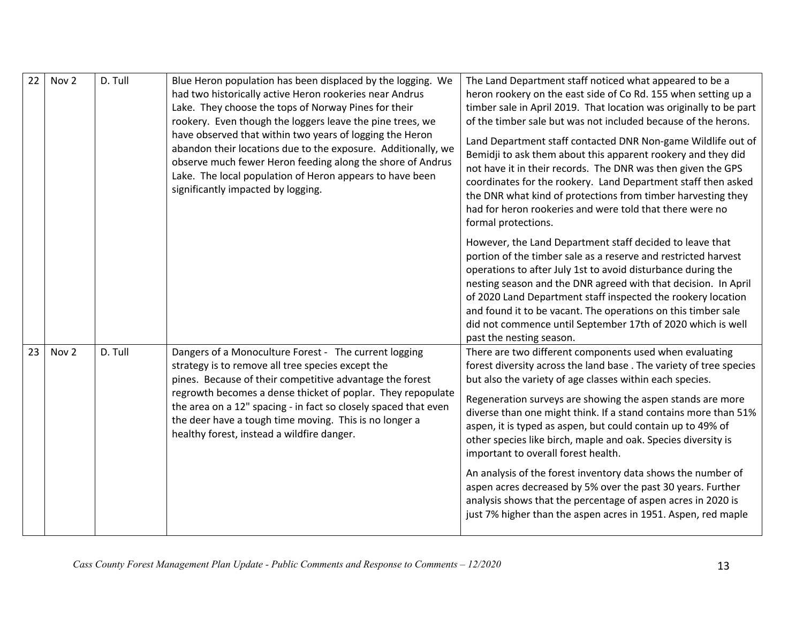| 22 | Nov <sub>2</sub> | D. Tull | Blue Heron population has been displaced by the logging. We<br>had two historically active Heron rookeries near Andrus<br>Lake. They choose the tops of Norway Pines for their<br>rookery. Even though the loggers leave the pine trees, we<br>have observed that within two years of logging the Heron<br>abandon their locations due to the exposure. Additionally, we<br>observe much fewer Heron feeding along the shore of Andrus<br>Lake. The local population of Heron appears to have been<br>significantly impacted by logging. | The Land Department staff noticed what appeared to be a<br>heron rookery on the east side of Co Rd. 155 when setting up a<br>timber sale in April 2019. That location was originally to be part<br>of the timber sale but was not included because of the herons.<br>Land Department staff contacted DNR Non-game Wildlife out of<br>Bemidji to ask them about this apparent rookery and they did<br>not have it in their records. The DNR was then given the GPS<br>coordinates for the rookery. Land Department staff then asked<br>the DNR what kind of protections from timber harvesting they<br>had for heron rookeries and were told that there were no<br>formal protections.                                                                             |
|----|------------------|---------|------------------------------------------------------------------------------------------------------------------------------------------------------------------------------------------------------------------------------------------------------------------------------------------------------------------------------------------------------------------------------------------------------------------------------------------------------------------------------------------------------------------------------------------|-------------------------------------------------------------------------------------------------------------------------------------------------------------------------------------------------------------------------------------------------------------------------------------------------------------------------------------------------------------------------------------------------------------------------------------------------------------------------------------------------------------------------------------------------------------------------------------------------------------------------------------------------------------------------------------------------------------------------------------------------------------------|
|    |                  |         |                                                                                                                                                                                                                                                                                                                                                                                                                                                                                                                                          | However, the Land Department staff decided to leave that<br>portion of the timber sale as a reserve and restricted harvest<br>operations to after July 1st to avoid disturbance during the<br>nesting season and the DNR agreed with that decision. In April<br>of 2020 Land Department staff inspected the rookery location<br>and found it to be vacant. The operations on this timber sale<br>did not commence until September 17th of 2020 which is well<br>past the nesting season.                                                                                                                                                                                                                                                                          |
| 23 | Nov <sub>2</sub> | D. Tull | Dangers of a Monoculture Forest - The current logging<br>strategy is to remove all tree species except the<br>pines. Because of their competitive advantage the forest<br>regrowth becomes a dense thicket of poplar. They repopulate<br>the area on a 12" spacing - in fact so closely spaced that even<br>the deer have a tough time moving. This is no longer a<br>healthy forest, instead a wildfire danger.                                                                                                                         | There are two different components used when evaluating<br>forest diversity across the land base. The variety of tree species<br>but also the variety of age classes within each species.<br>Regeneration surveys are showing the aspen stands are more<br>diverse than one might think. If a stand contains more than 51%<br>aspen, it is typed as aspen, but could contain up to 49% of<br>other species like birch, maple and oak. Species diversity is<br>important to overall forest health.<br>An analysis of the forest inventory data shows the number of<br>aspen acres decreased by 5% over the past 30 years. Further<br>analysis shows that the percentage of aspen acres in 2020 is<br>just 7% higher than the aspen acres in 1951. Aspen, red maple |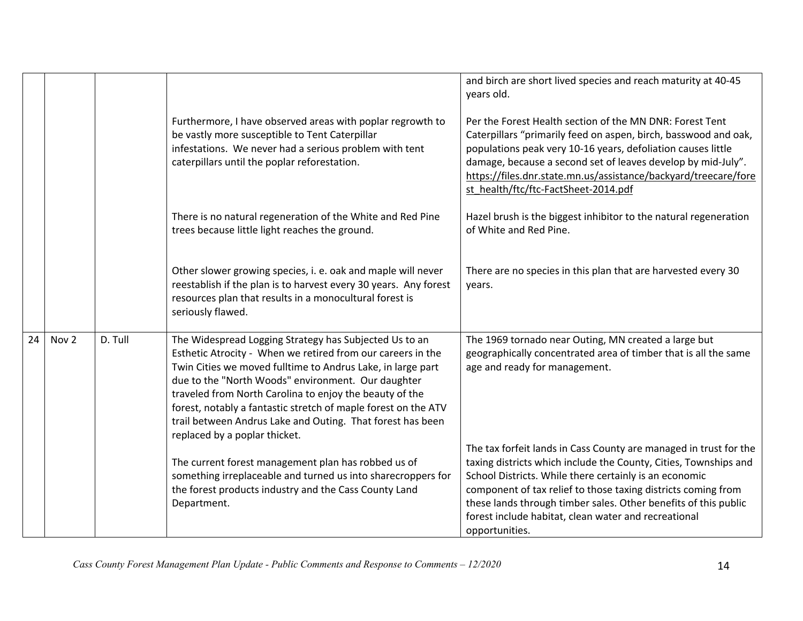|    |                  |         |                                                                                                                                                                                                                                                                                                                                                                                                                                                                        | and birch are short lived species and reach maturity at 40-45<br>years old.                                                                                                                                                                                                                                                                                                                                   |
|----|------------------|---------|------------------------------------------------------------------------------------------------------------------------------------------------------------------------------------------------------------------------------------------------------------------------------------------------------------------------------------------------------------------------------------------------------------------------------------------------------------------------|---------------------------------------------------------------------------------------------------------------------------------------------------------------------------------------------------------------------------------------------------------------------------------------------------------------------------------------------------------------------------------------------------------------|
|    |                  |         | Furthermore, I have observed areas with poplar regrowth to<br>be vastly more susceptible to Tent Caterpillar<br>infestations. We never had a serious problem with tent<br>caterpillars until the poplar reforestation.                                                                                                                                                                                                                                                 | Per the Forest Health section of the MN DNR: Forest Tent<br>Caterpillars "primarily feed on aspen, birch, basswood and oak,<br>populations peak very 10-16 years, defoliation causes little<br>damage, because a second set of leaves develop by mid-July".<br>https://files.dnr.state.mn.us/assistance/backyard/treecare/fore<br>st health/ftc/ftc-FactSheet-2014.pdf                                        |
|    |                  |         | There is no natural regeneration of the White and Red Pine<br>trees because little light reaches the ground.                                                                                                                                                                                                                                                                                                                                                           | Hazel brush is the biggest inhibitor to the natural regeneration<br>of White and Red Pine.                                                                                                                                                                                                                                                                                                                    |
|    |                  |         | Other slower growing species, i. e. oak and maple will never<br>reestablish if the plan is to harvest every 30 years. Any forest<br>resources plan that results in a monocultural forest is<br>seriously flawed.                                                                                                                                                                                                                                                       | There are no species in this plan that are harvested every 30<br>years.                                                                                                                                                                                                                                                                                                                                       |
| 24 | Nov <sub>2</sub> | D. Tull | The Widespread Logging Strategy has Subjected Us to an<br>Esthetic Atrocity - When we retired from our careers in the<br>Twin Cities we moved fulltime to Andrus Lake, in large part<br>due to the "North Woods" environment. Our daughter<br>traveled from North Carolina to enjoy the beauty of the<br>forest, notably a fantastic stretch of maple forest on the ATV<br>trail between Andrus Lake and Outing. That forest has been<br>replaced by a poplar thicket. | The 1969 tornado near Outing, MN created a large but<br>geographically concentrated area of timber that is all the same<br>age and ready for management.                                                                                                                                                                                                                                                      |
|    |                  |         | The current forest management plan has robbed us of<br>something irreplaceable and turned us into sharecroppers for<br>the forest products industry and the Cass County Land<br>Department.                                                                                                                                                                                                                                                                            | The tax forfeit lands in Cass County are managed in trust for the<br>taxing districts which include the County, Cities, Townships and<br>School Districts. While there certainly is an economic<br>component of tax relief to those taxing districts coming from<br>these lands through timber sales. Other benefits of this public<br>forest include habitat, clean water and recreational<br>opportunities. |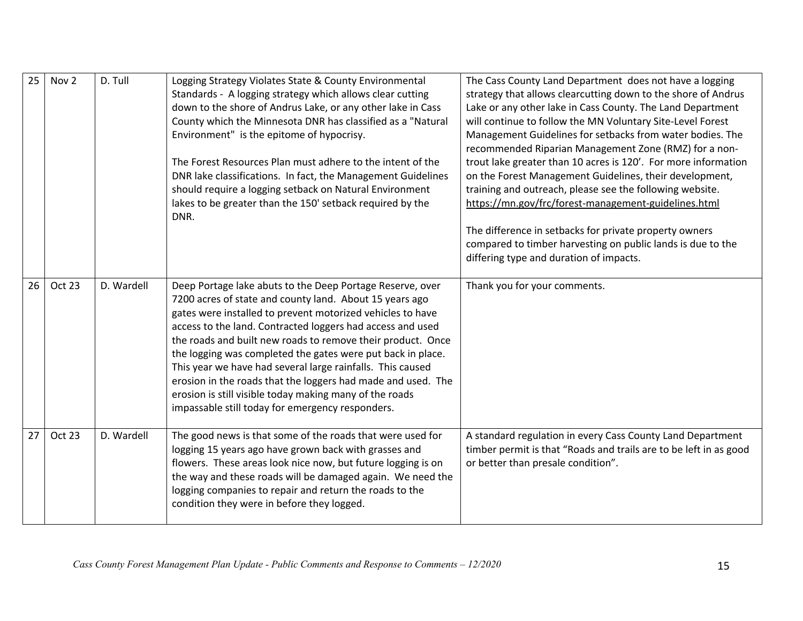| 25 | Nov <sub>2</sub> | D. Tull    | Logging Strategy Violates State & County Environmental<br>Standards - A logging strategy which allows clear cutting<br>down to the shore of Andrus Lake, or any other lake in Cass<br>County which the Minnesota DNR has classified as a "Natural<br>Environment" is the epitome of hypocrisy.<br>The Forest Resources Plan must adhere to the intent of the<br>DNR lake classifications. In fact, the Management Guidelines<br>should require a logging setback on Natural Environment<br>lakes to be greater than the 150' setback required by the<br>DNR.                                                                | The Cass County Land Department does not have a logging<br>strategy that allows clearcutting down to the shore of Andrus<br>Lake or any other lake in Cass County. The Land Department<br>will continue to follow the MN Voluntary Site-Level Forest<br>Management Guidelines for setbacks from water bodies. The<br>recommended Riparian Management Zone (RMZ) for a non-<br>trout lake greater than 10 acres is 120'. For more information<br>on the Forest Management Guidelines, their development,<br>training and outreach, please see the following website.<br>https://mn.gov/frc/forest-management-guidelines.html<br>The difference in setbacks for private property owners<br>compared to timber harvesting on public lands is due to the<br>differing type and duration of impacts. |
|----|------------------|------------|-----------------------------------------------------------------------------------------------------------------------------------------------------------------------------------------------------------------------------------------------------------------------------------------------------------------------------------------------------------------------------------------------------------------------------------------------------------------------------------------------------------------------------------------------------------------------------------------------------------------------------|-------------------------------------------------------------------------------------------------------------------------------------------------------------------------------------------------------------------------------------------------------------------------------------------------------------------------------------------------------------------------------------------------------------------------------------------------------------------------------------------------------------------------------------------------------------------------------------------------------------------------------------------------------------------------------------------------------------------------------------------------------------------------------------------------|
| 26 | Oct 23           | D. Wardell | Deep Portage lake abuts to the Deep Portage Reserve, over<br>7200 acres of state and county land. About 15 years ago<br>gates were installed to prevent motorized vehicles to have<br>access to the land. Contracted loggers had access and used<br>the roads and built new roads to remove their product. Once<br>the logging was completed the gates were put back in place.<br>This year we have had several large rainfalls. This caused<br>erosion in the roads that the loggers had made and used. The<br>erosion is still visible today making many of the roads<br>impassable still today for emergency responders. | Thank you for your comments.                                                                                                                                                                                                                                                                                                                                                                                                                                                                                                                                                                                                                                                                                                                                                                    |
| 27 | Oct 23           | D. Wardell | The good news is that some of the roads that were used for<br>logging 15 years ago have grown back with grasses and<br>flowers. These areas look nice now, but future logging is on<br>the way and these roads will be damaged again. We need the<br>logging companies to repair and return the roads to the<br>condition they were in before they logged.                                                                                                                                                                                                                                                                  | A standard regulation in every Cass County Land Department<br>timber permit is that "Roads and trails are to be left in as good<br>or better than presale condition".                                                                                                                                                                                                                                                                                                                                                                                                                                                                                                                                                                                                                           |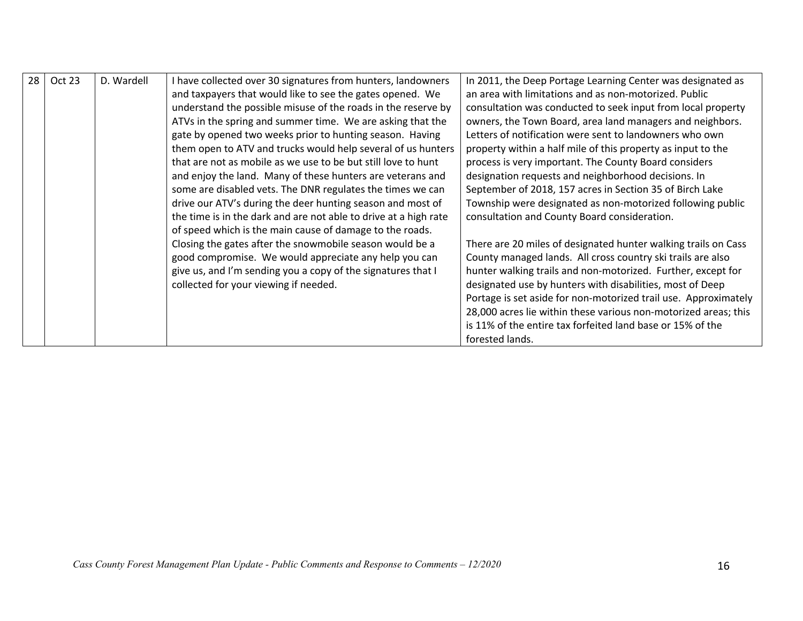| 28 | Oct 23 | D. Wardell                                                    | I have collected over 30 signatures from hunters, landowners     | In 2011, the Deep Portage Learning Center was designated as     |
|----|--------|---------------------------------------------------------------|------------------------------------------------------------------|-----------------------------------------------------------------|
|    |        |                                                               | and taxpayers that would like to see the gates opened. We        | an area with limitations and as non-motorized. Public           |
|    |        |                                                               | understand the possible misuse of the roads in the reserve by    | consultation was conducted to seek input from local property    |
|    |        |                                                               | ATVs in the spring and summer time. We are asking that the       | owners, the Town Board, area land managers and neighbors.       |
|    |        | gate by opened two weeks prior to hunting season. Having      |                                                                  | Letters of notification were sent to landowners who own         |
|    |        | them open to ATV and trucks would help several of us hunters  |                                                                  | property within a half mile of this property as input to the    |
|    |        | that are not as mobile as we use to be but still love to hunt |                                                                  | process is very important. The County Board considers           |
|    |        |                                                               | and enjoy the land. Many of these hunters are veterans and       | designation requests and neighborhood decisions. In             |
|    |        |                                                               | some are disabled vets. The DNR regulates the times we can       | September of 2018, 157 acres in Section 35 of Birch Lake        |
|    |        |                                                               | drive our ATV's during the deer hunting season and most of       | Township were designated as non-motorized following public      |
|    |        |                                                               | the time is in the dark and are not able to drive at a high rate | consultation and County Board consideration.                    |
|    |        |                                                               | of speed which is the main cause of damage to the roads.         |                                                                 |
|    |        |                                                               | Closing the gates after the snowmobile season would be a         | There are 20 miles of designated hunter walking trails on Cass  |
|    |        |                                                               | good compromise. We would appreciate any help you can            | County managed lands. All cross country ski trails are also     |
|    |        |                                                               | give us, and I'm sending you a copy of the signatures that I     | hunter walking trails and non-motorized. Further, except for    |
|    |        |                                                               | collected for your viewing if needed.                            | designated use by hunters with disabilities, most of Deep       |
|    |        |                                                               |                                                                  | Portage is set aside for non-motorized trail use. Approximately |
|    |        |                                                               |                                                                  | 28,000 acres lie within these various non-motorized areas; this |
|    |        |                                                               |                                                                  | is 11% of the entire tax forfeited land base or 15% of the      |
|    |        |                                                               |                                                                  | forested lands.                                                 |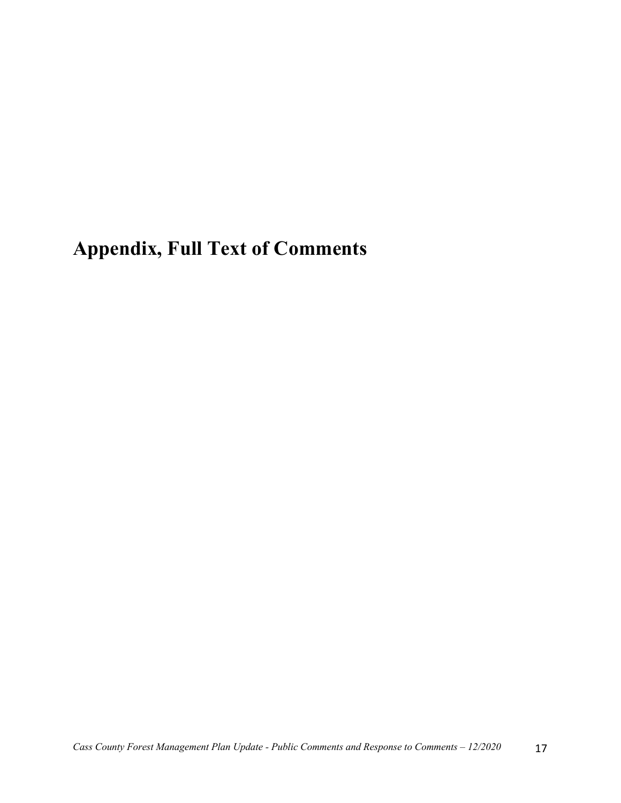# **Appendix, Full Text of Comments**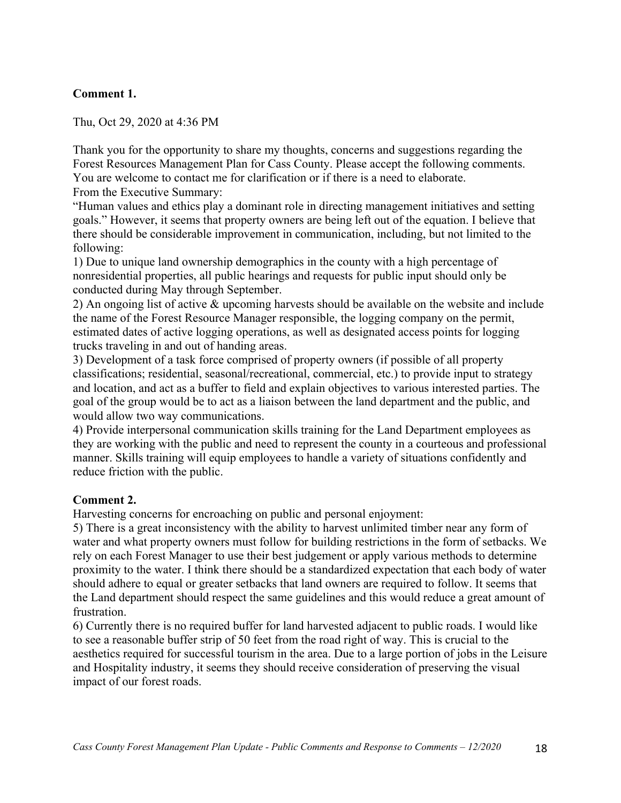## **Comment 1.**

Thu, Oct 29, 2020 at 4:36 PM

Thank you for the opportunity to share my thoughts, concerns and suggestions regarding the Forest Resources Management Plan for Cass County. Please accept the following comments. You are welcome to contact me for clarification or if there is a need to elaborate. From the Executive Summary:

"Human values and ethics play a dominant role in directing management initiatives and setting goals." However, it seems that property owners are being left out of the equation. I believe that there should be considerable improvement in communication, including, but not limited to the following:

1) Due to unique land ownership demographics in the county with a high percentage of nonresidential properties, all public hearings and requests for public input should only be conducted during May through September.

2) An ongoing list of active & upcoming harvests should be available on the website and include the name of the Forest Resource Manager responsible, the logging company on the permit, estimated dates of active logging operations, as well as designated access points for logging trucks traveling in and out of handing areas.

3) Development of a task force comprised of property owners (if possible of all property classifications; residential, seasonal/recreational, commercial, etc.) to provide input to strategy and location, and act as a buffer to field and explain objectives to various interested parties. The goal of the group would be to act as a liaison between the land department and the public, and would allow two way communications.

4) Provide interpersonal communication skills training for the Land Department employees as they are working with the public and need to represent the county in a courteous and professional manner. Skills training will equip employees to handle a variety of situations confidently and reduce friction with the public.

#### **Comment 2.**

Harvesting concerns for encroaching on public and personal enjoyment:

5) There is a great inconsistency with the ability to harvest unlimited timber near any form of water and what property owners must follow for building restrictions in the form of setbacks. We rely on each Forest Manager to use their best judgement or apply various methods to determine proximity to the water. I think there should be a standardized expectation that each body of water should adhere to equal or greater setbacks that land owners are required to follow. It seems that the Land department should respect the same guidelines and this would reduce a great amount of frustration.

6) Currently there is no required buffer for land harvested adjacent to public roads. I would like to see a reasonable buffer strip of 50 feet from the road right of way. This is crucial to the aesthetics required for successful tourism in the area. Due to a large portion of jobs in the Leisure and Hospitality industry, it seems they should receive consideration of preserving the visual impact of our forest roads.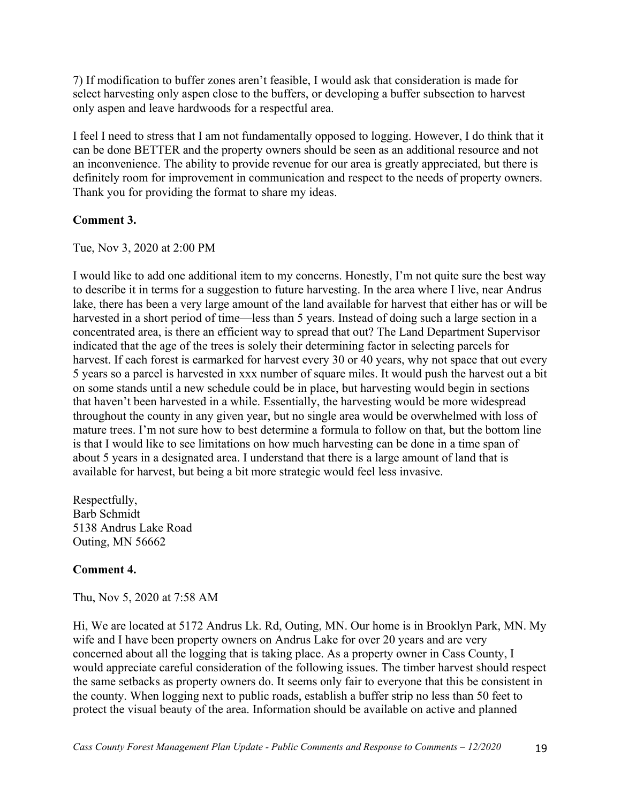7) If modification to buffer zones aren't feasible, I would ask that consideration is made for select harvesting only aspen close to the buffers, or developing a buffer subsection to harvest only aspen and leave hardwoods for a respectful area.

I feel I need to stress that I am not fundamentally opposed to logging. However, I do think that it can be done BETTER and the property owners should be seen as an additional resource and not an inconvenience. The ability to provide revenue for our area is greatly appreciated, but there is definitely room for improvement in communication and respect to the needs of property owners. Thank you for providing the format to share my ideas.

### **Comment 3.**

Tue, Nov 3, 2020 at 2:00 PM

I would like to add one additional item to my concerns. Honestly, I'm not quite sure the best way to describe it in terms for a suggestion to future harvesting. In the area where I live, near Andrus lake, there has been a very large amount of the land available for harvest that either has or will be harvested in a short period of time—less than 5 years. Instead of doing such a large section in a concentrated area, is there an efficient way to spread that out? The Land Department Supervisor indicated that the age of the trees is solely their determining factor in selecting parcels for harvest. If each forest is earmarked for harvest every 30 or 40 years, why not space that out every 5 years so a parcel is harvested in xxx number of square miles. It would push the harvest out a bit on some stands until a new schedule could be in place, but harvesting would begin in sections that haven't been harvested in a while. Essentially, the harvesting would be more widespread throughout the county in any given year, but no single area would be overwhelmed with loss of mature trees. I'm not sure how to best determine a formula to follow on that, but the bottom line is that I would like to see limitations on how much harvesting can be done in a time span of about 5 years in a designated area. I understand that there is a large amount of land that is available for harvest, but being a bit more strategic would feel less invasive.

Respectfully, Barb Schmidt 5138 Andrus Lake Road Outing, MN 56662

## **Comment 4.**

Thu, Nov 5, 2020 at 7:58 AM

Hi, We are located at 5172 Andrus Lk. Rd, Outing, MN. Our home is in Brooklyn Park, MN. My wife and I have been property owners on Andrus Lake for over 20 years and are very concerned about all the logging that is taking place. As a property owner in Cass County, I would appreciate careful consideration of the following issues. The timber harvest should respect the same setbacks as property owners do. It seems only fair to everyone that this be consistent in the county. When logging next to public roads, establish a buffer strip no less than 50 feet to protect the visual beauty of the area. Information should be available on active and planned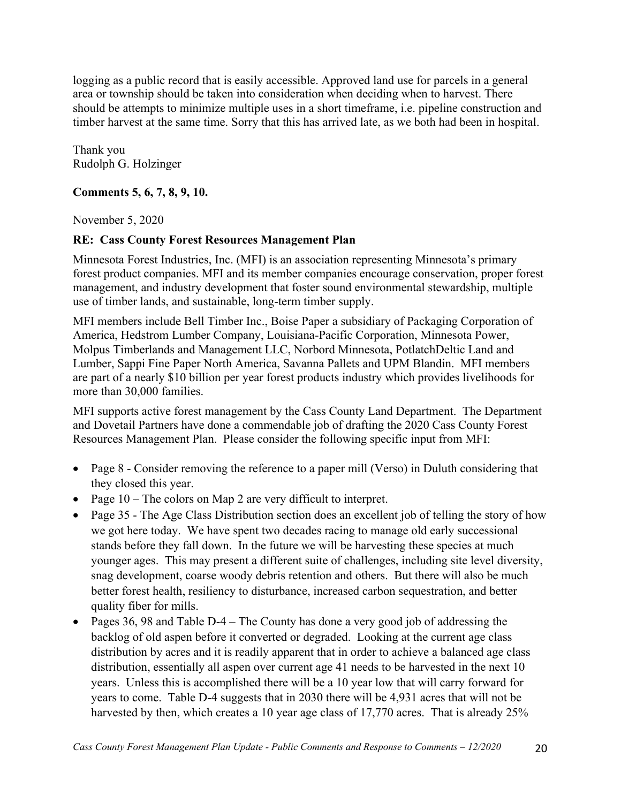logging as a public record that is easily accessible. Approved land use for parcels in a general area or township should be taken into consideration when deciding when to harvest. There should be attempts to minimize multiple uses in a short timeframe, i.e. pipeline construction and timber harvest at the same time. Sorry that this has arrived late, as we both had been in hospital.

Thank you Rudolph G. Holzinger

## **Comments 5, 6, 7, 8, 9, 10.**

November 5, 2020

## **RE: Cass County Forest Resources Management Plan**

Minnesota Forest Industries, Inc. (MFI) is an association representing Minnesota's primary forest product companies. MFI and its member companies encourage conservation, proper forest management, and industry development that foster sound environmental stewardship, multiple use of timber lands, and sustainable, long-term timber supply.

MFI members include Bell Timber Inc., Boise Paper a subsidiary of Packaging Corporation of America, Hedstrom Lumber Company, Louisiana-Pacific Corporation, Minnesota Power, Molpus Timberlands and Management LLC, Norbord Minnesota, PotlatchDeltic Land and Lumber, Sappi Fine Paper North America, Savanna Pallets and UPM Blandin. MFI members are part of a nearly \$10 billion per year forest products industry which provides livelihoods for more than 30,000 families.

MFI supports active forest management by the Cass County Land Department. The Department and Dovetail Partners have done a commendable job of drafting the 2020 Cass County Forest Resources Management Plan. Please consider the following specific input from MFI:

- Page 8 Consider removing the reference to a paper mill (Verso) in Duluth considering that they closed this year.
- Page 10 The colors on Map 2 are very difficult to interpret.
- Page 35 The Age Class Distribution section does an excellent job of telling the story of how we got here today. We have spent two decades racing to manage old early successional stands before they fall down. In the future we will be harvesting these species at much younger ages. This may present a different suite of challenges, including site level diversity, snag development, coarse woody debris retention and others. But there will also be much better forest health, resiliency to disturbance, increased carbon sequestration, and better quality fiber for mills.
- Pages 36, 98 and Table D-4 The County has done a very good job of addressing the backlog of old aspen before it converted or degraded. Looking at the current age class distribution by acres and it is readily apparent that in order to achieve a balanced age class distribution, essentially all aspen over current age 41 needs to be harvested in the next 10 years. Unless this is accomplished there will be a 10 year low that will carry forward for years to come. Table D-4 suggests that in 2030 there will be 4,931 acres that will not be harvested by then, which creates a 10 year age class of 17,770 acres. That is already 25%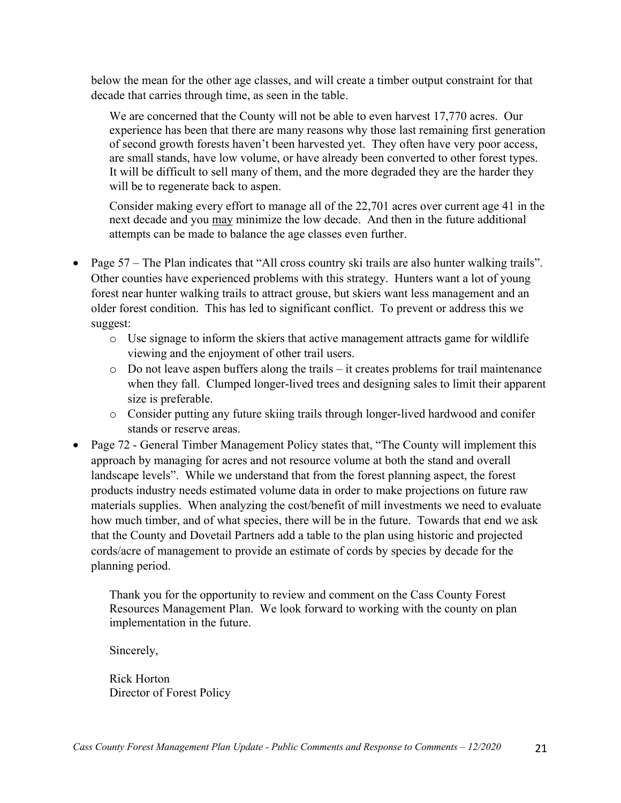below the mean for the other age classes, and will create a timber output constraint for that decade that carries through time, as seen in the table.

We are concerned that the County will not be able to even harvest 17,770 acres. Our experience has been that there are many reasons why those last remaining first generation of second growth forests haven't been harvested yet. They often have very poor access, are small stands, have low volume, or have already been converted to other forest types. It will be difficult to sell many of them, and the more degraded they are the harder they will be to regenerate back to aspen.

Consider making every effort to manage all of the 22,701 acres over current age 41 in the next decade and you may minimize the low decade. And then in the future additional attempts can be made to balance the age classes even further.

- Page 57 The Plan indicates that "All cross country ski trails are also hunter walking trails". Other counties have experienced problems with this strategy. Hunters want a lot of young forest near hunter walking trails to attract grouse, but skiers want less management and an older forest condition. This has led to significant conflict. To prevent or address this we suggest:
	- o Use signage to inform the skiers that active management attracts game for wildlife viewing and the enjoyment of other trail users.
	- $\circ$  Do not leave aspen buffers along the trails it creates problems for trail maintenance when they fall. Clumped longer-lived trees and designing sales to limit their apparent size is preferable.
	- o Consider putting any future skiing trails through longer-lived hardwood and conifer stands or reserve areas.
- Page 72 General Timber Management Policy states that, "The County will implement this approach by managing for acres and not resource volume at both the stand and overall landscape levels". While we understand that from the forest planning aspect, the forest products industry needs estimated volume data in order to make projections on future raw materials supplies. When analyzing the cost/benefit of mill investments we need to evaluate how much timber, and of what species, there will be in the future. Towards that end we ask that the County and Dovetail Partners add a table to the plan using historic and projected cords/acre of management to provide an estimate of cords by species by decade for the planning period.

Thank you for the opportunity to review and comment on the Cass County Forest Resources Management Plan. We look forward to working with the county on plan implementation in the future.

Sincerely,

Rick Horton Director of Forest Policy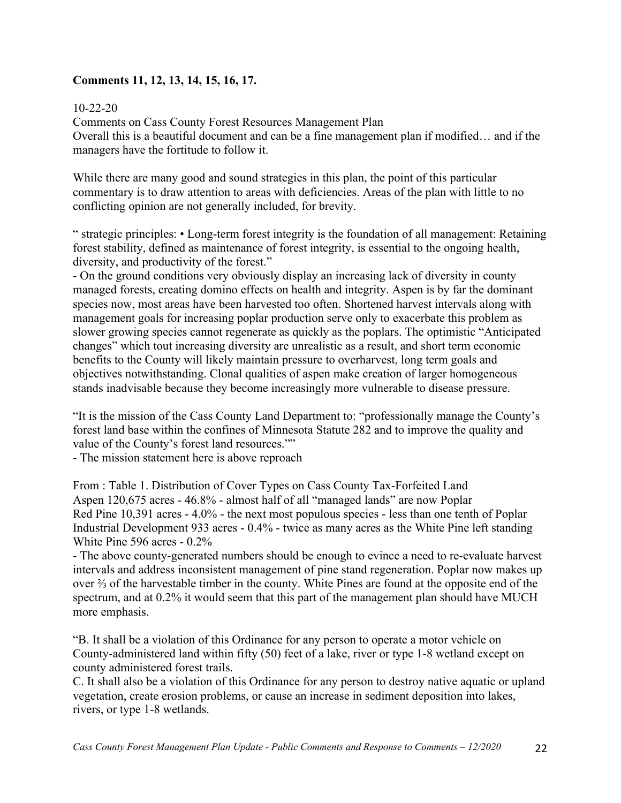## **Comments 11, 12, 13, 14, 15, 16, 17.**

## 10-22-20

Comments on Cass County Forest Resources Management Plan Overall this is a beautiful document and can be a fine management plan if modified… and if the managers have the fortitude to follow it.

While there are many good and sound strategies in this plan, the point of this particular commentary is to draw attention to areas with deficiencies. Areas of the plan with little to no conflicting opinion are not generally included, for brevity.

" strategic principles: • Long-term forest integrity is the foundation of all management: Retaining forest stability, defined as maintenance of forest integrity, is essential to the ongoing health, diversity, and productivity of the forest."

- On the ground conditions very obviously display an increasing lack of diversity in county managed forests, creating domino effects on health and integrity. Aspen is by far the dominant species now, most areas have been harvested too often. Shortened harvest intervals along with management goals for increasing poplar production serve only to exacerbate this problem as slower growing species cannot regenerate as quickly as the poplars. The optimistic "Anticipated changes" which tout increasing diversity are unrealistic as a result, and short term economic benefits to the County will likely maintain pressure to overharvest, long term goals and objectives notwithstanding. Clonal qualities of aspen make creation of larger homogeneous stands inadvisable because they become increasingly more vulnerable to disease pressure.

"It is the mission of the Cass County Land Department to: "professionally manage the County's forest land base within the confines of Minnesota Statute 282 and to improve the quality and value of the County's forest land resources.""

- The mission statement here is above reproach

From : Table 1. Distribution of Cover Types on Cass County Tax-Forfeited Land Aspen 120,675 acres - 46.8% - almost half of all "managed lands" are now Poplar Red Pine 10,391 acres - 4.0% - the next most populous species - less than one tenth of Poplar Industrial Development 933 acres - 0.4% - twice as many acres as the White Pine left standing White Pine 596 acres - 0.2%

- The above county-generated numbers should be enough to evince a need to re-evaluate harvest intervals and address inconsistent management of pine stand regeneration. Poplar now makes up over ⅔ of the harvestable timber in the county. White Pines are found at the opposite end of the spectrum, and at 0.2% it would seem that this part of the management plan should have MUCH more emphasis.

"B. It shall be a violation of this Ordinance for any person to operate a motor vehicle on County-administered land within fifty (50) feet of a lake, river or type 1-8 wetland except on county administered forest trails.

C. It shall also be a violation of this Ordinance for any person to destroy native aquatic or upland vegetation, create erosion problems, or cause an increase in sediment deposition into lakes, rivers, or type 1-8 wetlands.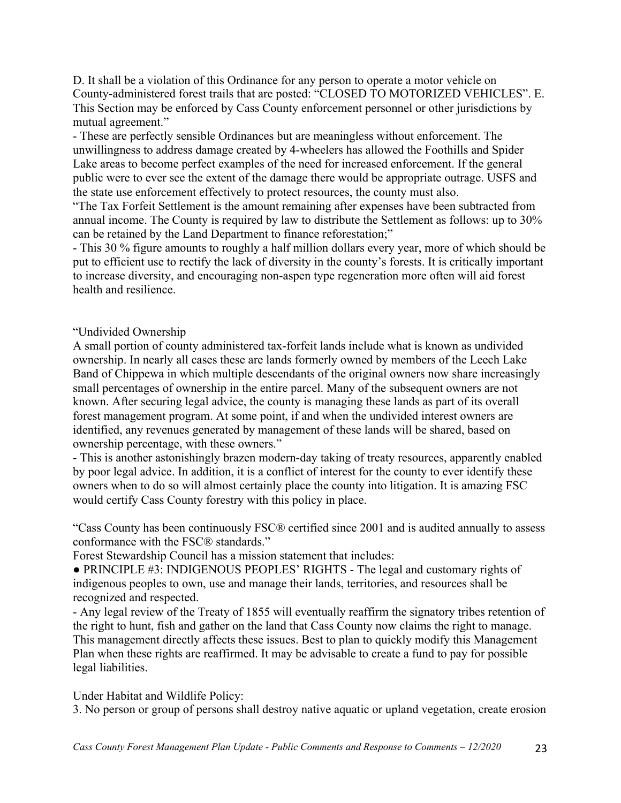D. It shall be a violation of this Ordinance for any person to operate a motor vehicle on County-administered forest trails that are posted: "CLOSED TO MOTORIZED VEHICLES". E. This Section may be enforced by Cass County enforcement personnel or other jurisdictions by mutual agreement."

- These are perfectly sensible Ordinances but are meaningless without enforcement. The unwillingness to address damage created by 4-wheelers has allowed the Foothills and Spider Lake areas to become perfect examples of the need for increased enforcement. If the general public were to ever see the extent of the damage there would be appropriate outrage. USFS and the state use enforcement effectively to protect resources, the county must also.

"The Tax Forfeit Settlement is the amount remaining after expenses have been subtracted from annual income. The County is required by law to distribute the Settlement as follows: up to 30% can be retained by the Land Department to finance reforestation;"

- This 30 % figure amounts to roughly a half million dollars every year, more of which should be put to efficient use to rectify the lack of diversity in the county's forests. It is critically important to increase diversity, and encouraging non-aspen type regeneration more often will aid forest health and resilience.

"Undivided Ownership

A small portion of county administered tax-forfeit lands include what is known as undivided ownership. In nearly all cases these are lands formerly owned by members of the Leech Lake Band of Chippewa in which multiple descendants of the original owners now share increasingly small percentages of ownership in the entire parcel. Many of the subsequent owners are not known. After securing legal advice, the county is managing these lands as part of its overall forest management program. At some point, if and when the undivided interest owners are identified, any revenues generated by management of these lands will be shared, based on ownership percentage, with these owners."

- This is another astonishingly brazen modern-day taking of treaty resources, apparently enabled by poor legal advice. In addition, it is a conflict of interest for the county to ever identify these owners when to do so will almost certainly place the county into litigation. It is amazing FSC would certify Cass County forestry with this policy in place.

"Cass County has been continuously FSC® certified since 2001 and is audited annually to assess conformance with the FSC® standards."

Forest Stewardship Council has a mission statement that includes:

• PRINCIPLE #3: INDIGENOUS PEOPLES' RIGHTS - The legal and customary rights of indigenous peoples to own, use and manage their lands, territories, and resources shall be recognized and respected.

- Any legal review of the Treaty of 1855 will eventually reaffirm the signatory tribes retention of the right to hunt, fish and gather on the land that Cass County now claims the right to manage. This management directly affects these issues. Best to plan to quickly modify this Management Plan when these rights are reaffirmed. It may be advisable to create a fund to pay for possible legal liabilities.

Under Habitat and Wildlife Policy:

3. No person or group of persons shall destroy native aquatic or upland vegetation, create erosion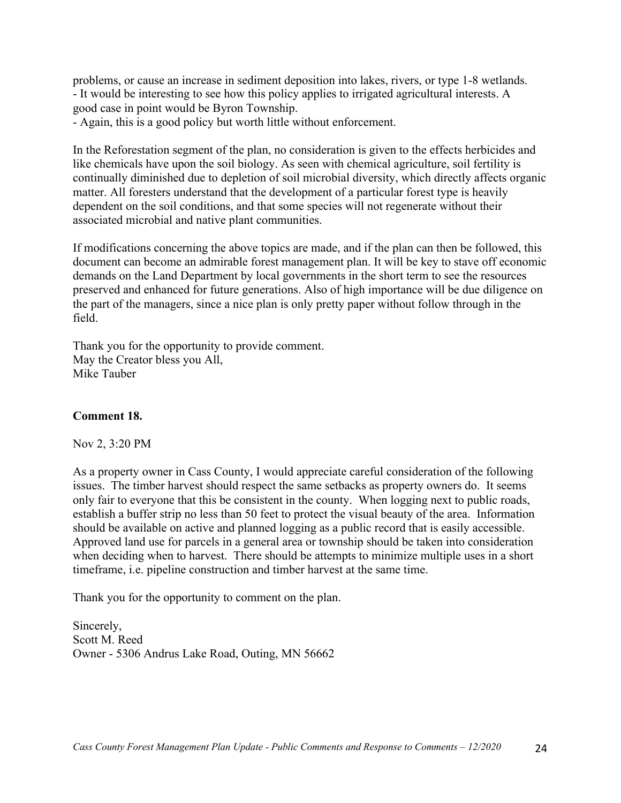problems, or cause an increase in sediment deposition into lakes, rivers, or type 1-8 wetlands. - It would be interesting to see how this policy applies to irrigated agricultural interests. A good case in point would be Byron Township.

- Again, this is a good policy but worth little without enforcement.

In the Reforestation segment of the plan, no consideration is given to the effects herbicides and like chemicals have upon the soil biology. As seen with chemical agriculture, soil fertility is continually diminished due to depletion of soil microbial diversity, which directly affects organic matter. All foresters understand that the development of a particular forest type is heavily dependent on the soil conditions, and that some species will not regenerate without their associated microbial and native plant communities.

If modifications concerning the above topics are made, and if the plan can then be followed, this document can become an admirable forest management plan. It will be key to stave off economic demands on the Land Department by local governments in the short term to see the resources preserved and enhanced for future generations. Also of high importance will be due diligence on the part of the managers, since a nice plan is only pretty paper without follow through in the field.

Thank you for the opportunity to provide comment. May the Creator bless you All, Mike Tauber

#### **Comment 18.**

Nov 2, 3:20 PM

As a property owner in Cass County, I would appreciate careful consideration of the following issues. The timber harvest should respect the same setbacks as property owners do. It seems only fair to everyone that this be consistent in the county. When logging next to public roads, establish a buffer strip no less than 50 feet to protect the visual beauty of the area. Information should be available on active and planned logging as a public record that is easily accessible. Approved land use for parcels in a general area or township should be taken into consideration when deciding when to harvest. There should be attempts to minimize multiple uses in a short timeframe, i.e. pipeline construction and timber harvest at the same time.

Thank you for the opportunity to comment on the plan.

Sincerely, Scott M. Reed Owner - 5306 Andrus Lake Road, Outing, MN 56662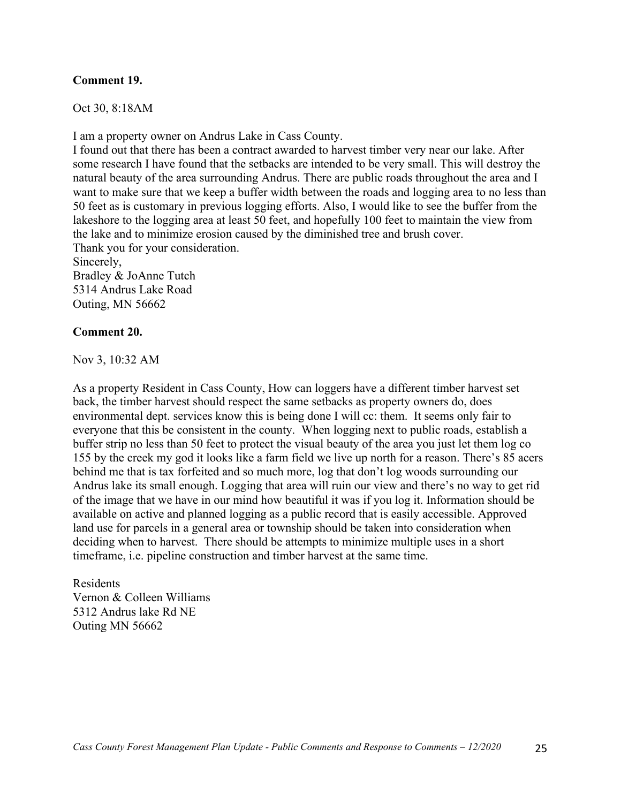#### **Comment 19.**

Oct 30, 8:18AM

I am a property owner on Andrus Lake in Cass County.

I found out that there has been a contract awarded to harvest timber very near our lake. After some research I have found that the setbacks are intended to be very small. This will destroy the natural beauty of the area surrounding Andrus. There are public roads throughout the area and I want to make sure that we keep a buffer width between the roads and logging area to no less than 50 feet as is customary in previous logging efforts. Also, I would like to see the buffer from the lakeshore to the logging area at least 50 feet, and hopefully 100 feet to maintain the view from the lake and to minimize erosion caused by the diminished tree and brush cover. Thank you for your consideration. Sincerely, Bradley & JoAnne Tutch

5314 Andrus Lake Road Outing, MN 56662

#### **Comment 20.**

Nov 3, 10:32 AM

As a property Resident in Cass County, How can loggers have a different timber harvest set back, the timber harvest should respect the same setbacks as property owners do, does environmental dept. services know this is being done I will cc: them. It seems only fair to everyone that this be consistent in the county. When logging next to public roads, establish a buffer strip no less than 50 feet to protect the visual beauty of the area you just let them log co 155 by the creek my god it looks like a farm field we live up north for a reason. There's 85 acers behind me that is tax forfeited and so much more, log that don't log woods surrounding our Andrus lake its small enough. Logging that area will ruin our view and there's no way to get rid of the image that we have in our mind how beautiful it was if you log it. Information should be available on active and planned logging as a public record that is easily accessible. Approved land use for parcels in a general area or township should be taken into consideration when deciding when to harvest. There should be attempts to minimize multiple uses in a short timeframe, i.e. pipeline construction and timber harvest at the same time.

Residents Vernon & Colleen Williams 5312 Andrus lake Rd NE Outing MN 56662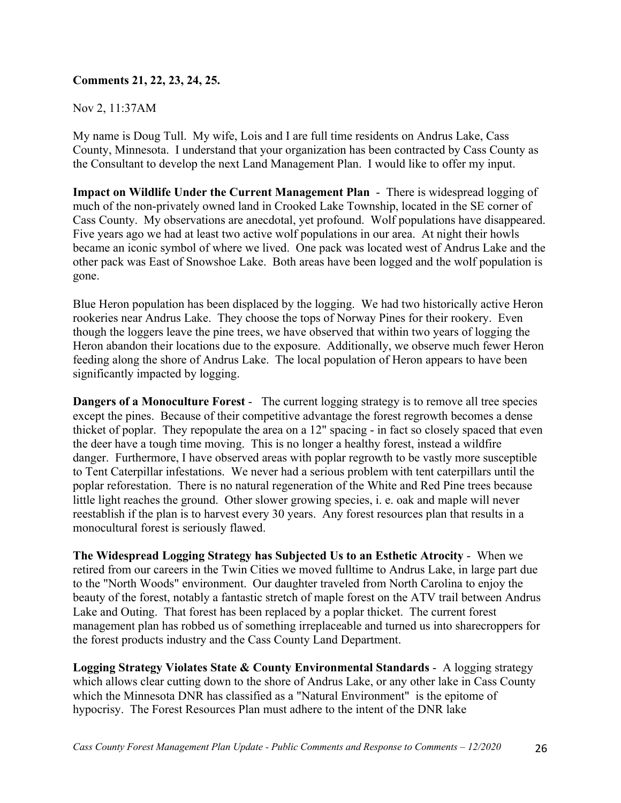## **Comments 21, 22, 23, 24, 25.**

Nov 2, 11:37AM

My name is Doug Tull. My wife, Lois and I are full time residents on Andrus Lake, Cass County, Minnesota. I understand that your organization has been contracted by Cass County as the Consultant to develop the next Land Management Plan. I would like to offer my input.

**Impact on Wildlife Under the Current Management Plan** - There is widespread logging of much of the non-privately owned land in Crooked Lake Township, located in the SE corner of Cass County. My observations are anecdotal, yet profound. Wolf populations have disappeared. Five years ago we had at least two active wolf populations in our area. At night their howls became an iconic symbol of where we lived. One pack was located west of Andrus Lake and the other pack was East of Snowshoe Lake. Both areas have been logged and the wolf population is gone.

Blue Heron population has been displaced by the logging. We had two historically active Heron rookeries near Andrus Lake. They choose the tops of Norway Pines for their rookery. Even though the loggers leave the pine trees, we have observed that within two years of logging the Heron abandon their locations due to the exposure. Additionally, we observe much fewer Heron feeding along the shore of Andrus Lake. The local population of Heron appears to have been significantly impacted by logging.

**Dangers of a Monoculture Forest** - The current logging strategy is to remove all tree species except the pines. Because of their competitive advantage the forest regrowth becomes a dense thicket of poplar. They repopulate the area on a 12" spacing - in fact so closely spaced that even the deer have a tough time moving. This is no longer a healthy forest, instead a wildfire danger. Furthermore, I have observed areas with poplar regrowth to be vastly more susceptible to Tent Caterpillar infestations. We never had a serious problem with tent caterpillars until the poplar reforestation. There is no natural regeneration of the White and Red Pine trees because little light reaches the ground. Other slower growing species, i. e. oak and maple will never reestablish if the plan is to harvest every 30 years. Any forest resources plan that results in a monocultural forest is seriously flawed.

**The Widespread Logging Strategy has Subjected Us to an Esthetic Atrocity** - When we retired from our careers in the Twin Cities we moved fulltime to Andrus Lake, in large part due to the "North Woods" environment. Our daughter traveled from North Carolina to enjoy the beauty of the forest, notably a fantastic stretch of maple forest on the ATV trail between Andrus Lake and Outing. That forest has been replaced by a poplar thicket. The current forest management plan has robbed us of something irreplaceable and turned us into sharecroppers for the forest products industry and the Cass County Land Department.

**Logging Strategy Violates State & County Environmental Standards** - A logging strategy which allows clear cutting down to the shore of Andrus Lake, or any other lake in Cass County which the Minnesota DNR has classified as a "Natural Environment" is the epitome of hypocrisy. The Forest Resources Plan must adhere to the intent of the DNR lake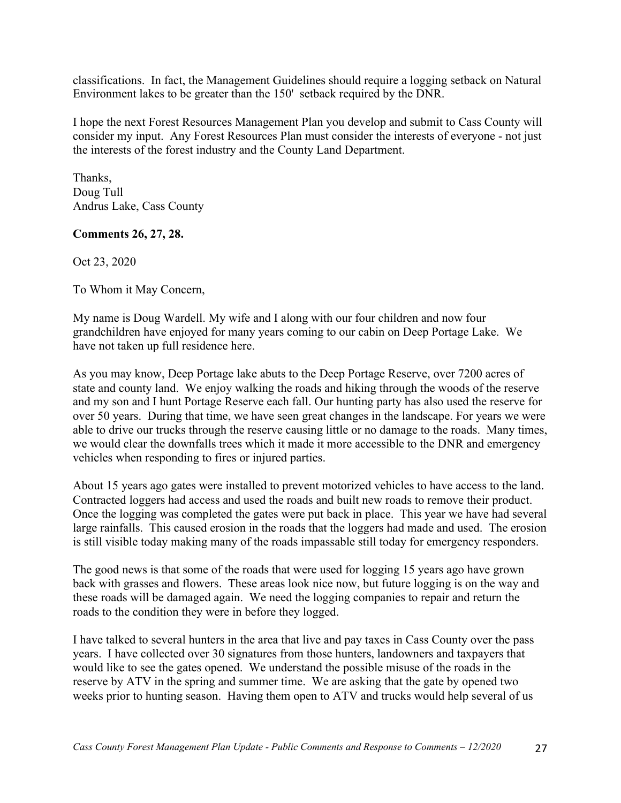classifications. In fact, the Management Guidelines should require a logging setback on Natural Environment lakes to be greater than the 150' setback required by the DNR.

I hope the next Forest Resources Management Plan you develop and submit to Cass County will consider my input. Any Forest Resources Plan must consider the interests of everyone - not just the interests of the forest industry and the County Land Department.

Thanks, Doug Tull Andrus Lake, Cass County

### **Comments 26, 27, 28.**

Oct 23, 2020

To Whom it May Concern,

My name is Doug Wardell. My wife and I along with our four children and now four grandchildren have enjoyed for many years coming to our cabin on Deep Portage Lake. We have not taken up full residence here.

As you may know, Deep Portage lake abuts to the Deep Portage Reserve, over 7200 acres of state and county land. We enjoy walking the roads and hiking through the woods of the reserve and my son and I hunt Portage Reserve each fall. Our hunting party has also used the reserve for over 50 years. During that time, we have seen great changes in the landscape. For years we were able to drive our trucks through the reserve causing little or no damage to the roads. Many times, we would clear the downfalls trees which it made it more accessible to the DNR and emergency vehicles when responding to fires or injured parties.

About 15 years ago gates were installed to prevent motorized vehicles to have access to the land. Contracted loggers had access and used the roads and built new roads to remove their product. Once the logging was completed the gates were put back in place. This year we have had several large rainfalls. This caused erosion in the roads that the loggers had made and used. The erosion is still visible today making many of the roads impassable still today for emergency responders.

The good news is that some of the roads that were used for logging 15 years ago have grown back with grasses and flowers. These areas look nice now, but future logging is on the way and these roads will be damaged again. We need the logging companies to repair and return the roads to the condition they were in before they logged.

I have talked to several hunters in the area that live and pay taxes in Cass County over the pass years. I have collected over 30 signatures from those hunters, landowners and taxpayers that would like to see the gates opened. We understand the possible misuse of the roads in the reserve by ATV in the spring and summer time. We are asking that the gate by opened two weeks prior to hunting season. Having them open to ATV and trucks would help several of us